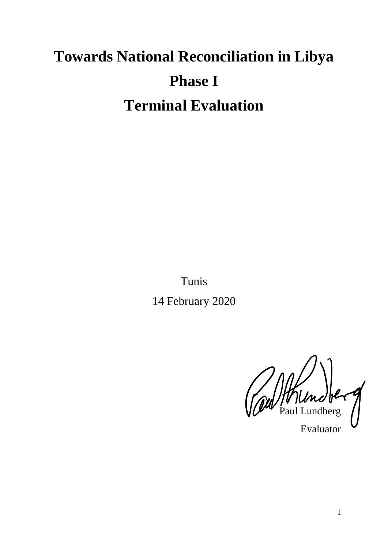# **Towards National Reconciliation in Libya Phase I Terminal Evaluation**

Tunis 14 February 2020

Paul Lundberg

Evaluator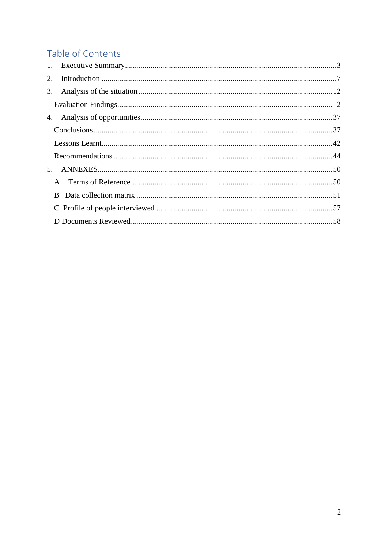# Table of Contents

| 5.           |  |
|--------------|--|
|              |  |
| <sub>B</sub> |  |
|              |  |
|              |  |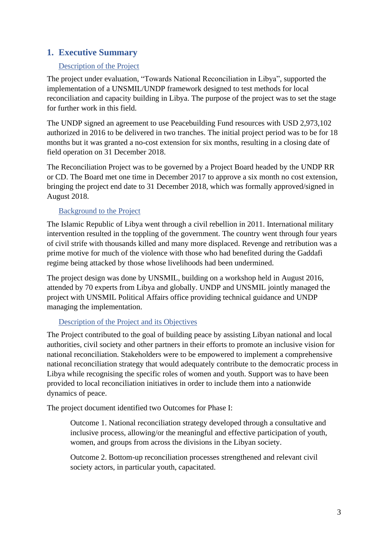# <span id="page-2-0"></span>**1. Executive Summary**

#### Description of the Project

The project under evaluation, "Towards National Reconciliation in Libya", supported the implementation of a UNSMIL/UNDP framework designed to test methods for local reconciliation and capacity building in Libya. The purpose of the project was to set the stage for further work in this field.

The UNDP signed an agreement to use Peacebuilding Fund resources with USD 2,973,102 authorized in 2016 to be delivered in two tranches. The initial project period was to be for 18 months but it was granted a no-cost extension for six months, resulting in a closing date of field operation on 31 December 2018.

The Reconciliation Project was to be governed by a Project Board headed by the UNDP RR or CD. The Board met one time in December 2017 to approve a six month no cost extension, bringing the project end date to 31 December 2018, which was formally approved/signed in August 2018.

#### Background to the Project

The Islamic Republic of Libya went through a civil rebellion in 2011. International military intervention resulted in the toppling of the government. The country went through four years of civil strife with thousands killed and many more displaced. Revenge and retribution was a prime motive for much of the violence with those who had benefited during the Gaddafi regime being attacked by those whose livelihoods had been undermined.

The project design was done by UNSMIL, building on a workshop held in August 2016, attended by 70 experts from Libya and globally. UNDP and UNSMIL jointly managed the project with UNSMIL Political Affairs office providing technical guidance and UNDP managing the implementation.

#### Description of the Project and its Objectives

The Project contributed to the goal of building peace by assisting Libyan national and local authorities, civil society and other partners in their efforts to promote an inclusive vision for national reconciliation. Stakeholders were to be empowered to implement a comprehensive national reconciliation strategy that would adequately contribute to the democratic process in Libya while recognising the specific roles of women and youth. Support was to have been provided to local reconciliation initiatives in order to include them into a nationwide dynamics of peace.

The project document identified two Outcomes for Phase I:

Outcome 1. National reconciliation strategy developed through a consultative and inclusive process, allowing/or the meaningful and effective participation of youth, women, and groups from across the divisions in the Libyan society.

Outcome 2. Bottom-up reconciliation processes strengthened and relevant civil society actors, in particular youth, capacitated.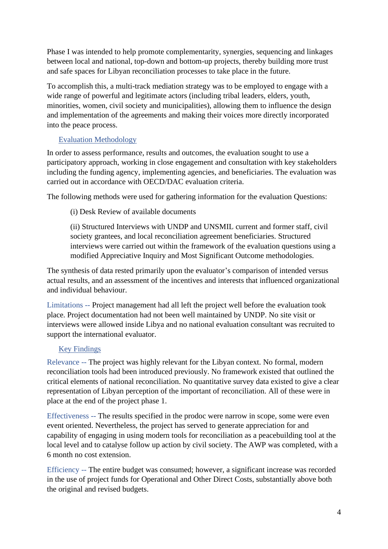Phase I was intended to help promote complementarity, synergies, sequencing and linkages between local and national, top-down and bottom-up projects, thereby building more trust and safe spaces for Libyan reconciliation processes to take place in the future.

To accomplish this, a multi-track mediation strategy was to be employed to engage with a wide range of powerful and legitimate actors (including tribal leaders, elders, youth, minorities, women, civil society and municipalities), allowing them to influence the design and implementation of the agreements and making their voices more directly incorporated into the peace process.

# Evaluation Methodology

In order to assess performance, results and outcomes, the evaluation sought to use a participatory approach, working in close engagement and consultation with key stakeholders including the funding agency, implementing agencies, and beneficiaries. The evaluation was carried out in accordance with OECD/DAC evaluation criteria.

The following methods were used for gathering information for the evaluation Questions:

(i) Desk Review of available documents

(ii) Structured Interviews with UNDP and UNSMIL current and former staff, civil society grantees, and local reconciliation agreement beneficiaries. Structured interviews were carried out within the framework of the evaluation questions using a modified Appreciative Inquiry and Most Significant Outcome methodologies.

The synthesis of data rested primarily upon the evaluator's comparison of intended versus actual results, and an assessment of the incentives and interests that influenced organizational and individual behaviour.

Limitations -- Project management had all left the project well before the evaluation took place. Project documentation had not been well maintained by UNDP. No site visit or interviews were allowed inside Libya and no national evaluation consultant was recruited to support the international evaluator.

# Key Findings

Relevance -- The project was highly relevant for the Libyan context. No formal, modern reconciliation tools had been introduced previously. No framework existed that outlined the critical elements of national reconciliation. No quantitative survey data existed to give a clear representation of Libyan perception of the important of reconciliation. All of these were in place at the end of the project phase 1.

Effectiveness -- The results specified in the prodoc were narrow in scope, some were even event oriented. Nevertheless, the project has served to generate appreciation for and capability of engaging in using modern tools for reconciliation as a peacebuilding tool at the local level and to catalyse follow up action by civil society. The AWP was completed, with a 6 month no cost extension.

Efficiency -- The entire budget was consumed; however, a significant increase was recorded in the use of project funds for Operational and Other Direct Costs, substantially above both the original and revised budgets.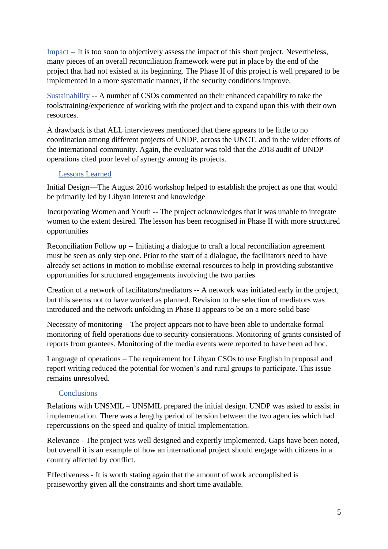Impact -- It is too soon to objectively assess the impact of this short project. Nevertheless, many pieces of an overall reconciliation framework were put in place by the end of the project that had not existed at its beginning. The Phase II of this project is well prepared to be implemented in a more systematic manner, if the security conditions improve.

Sustainability -- A number of CSOs commented on their enhanced capability to take the tools/training/experience of working with the project and to expand upon this with their own resources.

A drawback is that ALL interviewees mentioned that there appears to be little to no coordination among different projects of UNDP, across the UNCT, and in the wider efforts of the international community. Again, the evaluator was told that the 2018 audit of UNDP operations cited poor level of synergy among its projects.

#### Lessons Learned

Initial Design—The August 2016 workshop helped to establish the project as one that would be primarily led by Libyan interest and knowledge

Incorporating Women and Youth -- The project acknowledges that it was unable to integrate women to the extent desired. The lesson has been recognised in Phase II with more structured opportunities

Reconciliation Follow up -- Initiating a dialogue to craft a local reconciliation agreement must be seen as only step one. Prior to the start of a dialogue, the facilitators need to have already set actions in motion to mobilise external resources to help in providing substantive opportunities for structured engagements involving the two parties

Creation of a network of facilitators/mediators -- A network was initiated early in the project, but this seems not to have worked as planned. Revision to the selection of mediators was introduced and the network unfolding in Phase II appears to be on a more solid base

Necessity of monitoring – The project appears not to have been able to undertake formal monitoring of field operations due to security consierations. Monitoring of grants consisted of reports from grantees. Monitoring of the media events were reported to have been ad hoc.

Language of operations – The requirement for Libyan CSOs to use English in proposal and report writing reduced the potential for women's and rural groups to participate. This issue remains unresolved.

# **Conclusions**

Relations with UNSMIL – UNSMIL prepared the initial design. UNDP was asked to assist in implementation. There was a lengthy period of tension between the two agencies which had repercussions on the speed and quality of initial implementation.

Relevance - The project was well designed and expertly implemented. Gaps have been noted, but overall it is an example of how an international project should engage with citizens in a country affected by conflict.

Effectiveness - It is worth stating again that the amount of work accomplished is praiseworthy given all the constraints and short time available.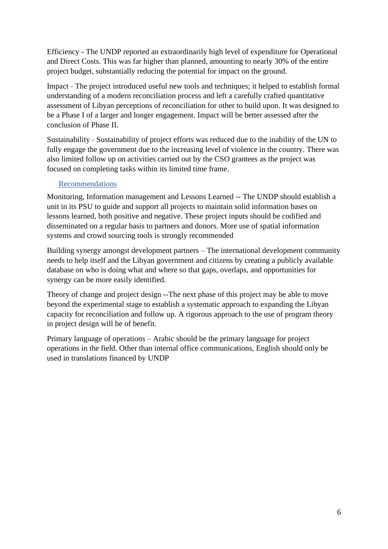Efficiency - The UNDP reported an extraordinarily high level of expenditure for Operational and Direct Costs. This was far higher than planned, amounting to nearly 30% of the entire project budget, substantially reducing the potential for impact on the ground.

Impact - The project introduced useful new tools and techniques; it helped to establish formal understanding of a modern reconciliation process and left a carefully crafted quantitative assessment of Libyan perceptions of reconciliation for other to build upon. It was designed to be a Phase I of a larger and longer engagement. Impact will be better assessed after the conclusion of Phase II.

Sustainability - Sustainability of project efforts was reduced due to the inability of the UN to fully engage the government due to the increasing level of violence in the country. There was also limited follow up on activities carried out by the CSO grantees as the project was focused on completing tasks within its limited time frame.

#### Recommendations

Monitoring, Information management and Lessons Learned -- The UNDP should establish a unit in its PSU to guide and support all projects to maintain solid information bases on lessons learned, both positive and negative. These project inputs should be codified and disseminated on a regular basis to partners and donors. More use of spatial information systems and crowd sourcing tools is strongly recommended

Building synergy amongst development partners – The international development community needs to help itself and the Libyan government and citizens by creating a publicly available database on who is doing what and where so that gaps, overlaps, and opportunities for synergy can be more easily identified.

Theory of change and project design --The next phase of this project may be able to move beyond the experimental stage to establish a systematic approach to expanding the Libyan capacity for reconciliation and follow up. A rigorous approach to the use of program theory in project design will be of benefit.

Primary language of operations – Arabic should be the primary language for project operations in the field. Other than internal office communications, English should only be used in translations financed by UNDP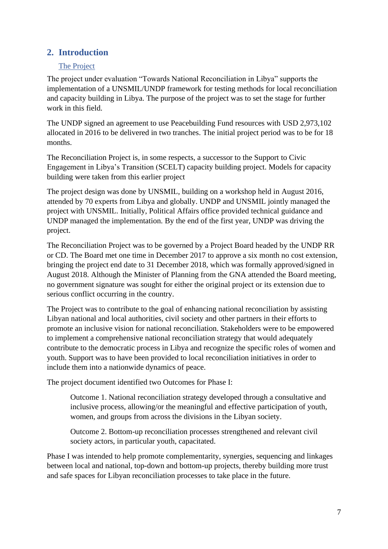# <span id="page-6-0"></span>**2. Introduction**

#### The Project

The project under evaluation "Towards National Reconciliation in Libya" supports the implementation of a UNSMIL/UNDP framework for testing methods for local reconciliation and capacity building in Libya. The purpose of the project was to set the stage for further work in this field.

The UNDP signed an agreement to use Peacebuilding Fund resources with USD 2,973,102 allocated in 2016 to be delivered in two tranches. The initial project period was to be for 18 months.

The Reconciliation Project is, in some respects, a successor to the Support to Civic Engagement in Libya's Transition (SCELT) capacity building project. Models for capacity building were taken from this earlier project

The project design was done by UNSMIL, building on a workshop held in August 2016, attended by 70 experts from Libya and globally. UNDP and UNSMIL jointly managed the project with UNSMIL. Initially, Political Affairs office provided technical guidance and UNDP managed the implementation. By the end of the first year, UNDP was driving the project.

The Reconciliation Project was to be governed by a Project Board headed by the UNDP RR or CD. The Board met one time in December 2017 to approve a six month no cost extension, bringing the project end date to 31 December 2018, which was formally approved/signed in August 2018. Although the Minister of Planning from the GNA attended the Board meeting, no government signature was sought for either the original project or its extension due to serious conflict occurring in the country.

The Project was to contribute to the goal of enhancing national reconciliation by assisting Libyan national and local authorities, civil society and other partners in their efforts to promote an inclusive vision for national reconciliation. Stakeholders were to be empowered to implement a comprehensive national reconciliation strategy that would adequately contribute to the democratic process in Libya and recognize the specific roles of women and youth. Support was to have been provided to local reconciliation initiatives in order to include them into a nationwide dynamics of peace.

The project document identified two Outcomes for Phase I:

Outcome 1. National reconciliation strategy developed through a consultative and inclusive process, allowing/or the meaningful and effective participation of youth, women, and groups from across the divisions in the Libyan society.

Outcome 2. Bottom-up reconciliation processes strengthened and relevant civil society actors, in particular youth, capacitated.

Phase I was intended to help promote complementarity, synergies, sequencing and linkages between local and national, top-down and bottom-up projects, thereby building more trust and safe spaces for Libyan reconciliation processes to take place in the future.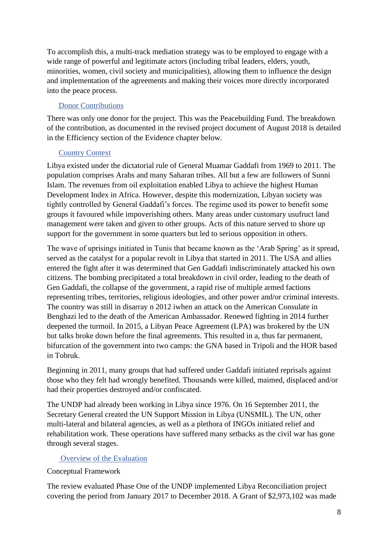To accomplish this, a multi-track mediation strategy was to be employed to engage with a wide range of powerful and legitimate actors (including tribal leaders, elders, youth, minorities, women, civil society and municipalities), allowing them to influence the design and implementation of the agreements and making their voices more directly incorporated into the peace process.

#### Donor Contributions

There was only one donor for the project. This was the Peacebuilding Fund. The breakdown of the contribution, as documented in the revised project document of August 2018 is detailed in the Efficiency section of the Evidence chapter below.

#### Country Context

Libya existed under the dictatorial rule of General Muamar Gaddafi from 1969 to 2011. The population comprises Arabs and many Saharan tribes. All but a few are followers of Sunni Islam. The revenues from oil exploitation enabled Libya to achieve the highest Human Development Index in Africa. However, despite this modernization, Libyan society was tightly controlled by General Gaddafi's forces. The regime used its power to benefit some groups it favoured while impoverishing others. Many areas under customary usufruct land management were taken and given to other groups. Acts of this nature served to shore up support for the government in some quarters but led to serious opposition in others.

The wave of uprisings initiated in Tunis that became known as the 'Arab Spring' as it spread, served as the catalyst for a popular revolt in Libya that started in 2011. The USA and allies entered the fight after it was determined that Gen Gaddafi indiscriminately attacked his own citizens. The bombing precipitated a total breakdown in civil order, leading to the death of Gen Gaddafi, the collapse of the government, a rapid rise of multiple armed factions representing tribes, territories, religious ideologies, and other power and/or criminal interests. The country was still in disarray n 2012 iwhen an attack on the American Consulate in Benghazi led to the death of the American Ambassador. Renewed fighting in 2014 further deepened the turmoil. In 2015, a Libyan Peace Agreement (LPA) was brokered by the UN but talks broke down before the final agreements. This resulted in a, thus far permanent, bifurcation of the government into two camps: the GNA based in Tripoli and the HOR based in Tobruk.

Beginning in 2011, many groups that had suffered under Gaddafi initiated reprisals against those who they felt had wrongly benefited. Thousands were killed, maimed, displaced and/or had their properties destroyed and/or confiscated.

The UNDP had already been working in Libya since 1976. On 16 September 2011, the Secretary General created the UN Support Mission in Libya (UNSMIL). The UN, other multi-lateral and bilateral agencies, as well as a plethora of INGOs initiated relief and rehabilitation work. These operations have suffered many setbacks as the civil war has gone through several stages.

Overview of the Evaluation

Conceptual Framework

The review evaluated Phase One of the UNDP implemented Libya Reconciliation project covering the period from January 2017 to December 2018. A Grant of \$2,973,102 was made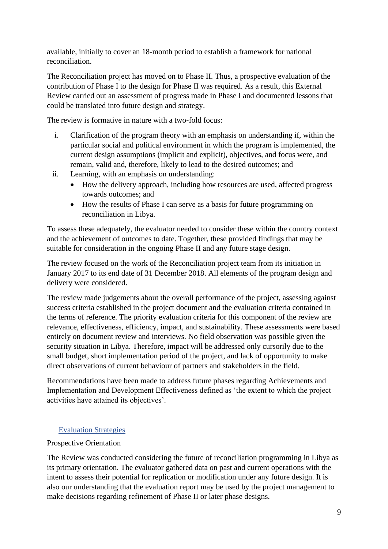available, initially to cover an 18-month period to establish a framework for national reconciliation.

The Reconciliation project has moved on to Phase II. Thus, a prospective evaluation of the contribution of Phase I to the design for Phase II was required. As a result, this External Review carried out an assessment of progress made in Phase I and documented lessons that could be translated into future design and strategy.

The review is formative in nature with a two-fold focus:

- i. Clarification of the program theory with an emphasis on understanding if, within the particular social and political environment in which the program is implemented, the current design assumptions (implicit and explicit), objectives, and focus were, and remain, valid and, therefore, likely to lead to the desired outcomes; and
- ii. Learning, with an emphasis on understanding:
	- How the delivery approach, including how resources are used, affected progress towards outcomes; and
	- How the results of Phase I can serve as a basis for future programming on reconciliation in Libya.

To assess these adequately, the evaluator needed to consider these within the country context and the achievement of outcomes to date. Together, these provided findings that may be suitable for consideration in the ongoing Phase II and any future stage design.

The review focused on the work of the Reconciliation project team from its initiation in January 2017 to its end date of 31 December 2018. All elements of the program design and delivery were considered.

The review made judgements about the overall performance of the project, assessing against success criteria established in the project document and the evaluation criteria contained in the terms of reference. The priority evaluation criteria for this component of the review are relevance, effectiveness, efficiency, impact, and sustainability. These assessments were based entirely on document review and interviews. No field observation was possible given the security situation in Libya. Therefore, impact will be addressed only cursorily due to the small budget, short implementation period of the project, and lack of opportunity to make direct observations of current behaviour of partners and stakeholders in the field.

Recommendations have been made to address future phases regarding Achievements and Implementation and Development Effectiveness defined as 'the extent to which the project activities have attained its objectives'.

#### Evaluation Strategies

#### Prospective Orientation

The Review was conducted considering the future of reconciliation programming in Libya as its primary orientation. The evaluator gathered data on past and current operations with the intent to assess their potential for replication or modification under any future design. It is also our understanding that the evaluation report may be used by the project management to make decisions regarding refinement of Phase II or later phase designs.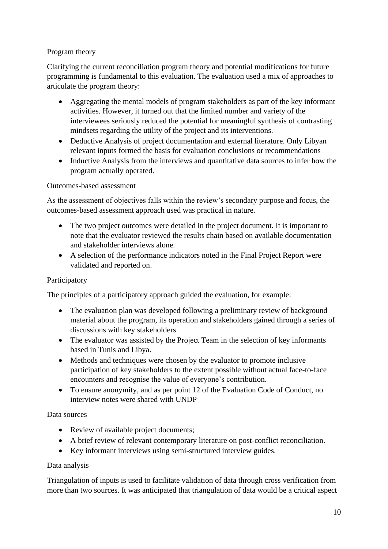#### Program theory

Clarifying the current reconciliation program theory and potential modifications for future programming is fundamental to this evaluation. The evaluation used a mix of approaches to articulate the program theory:

- Aggregating the mental models of program stakeholders as part of the key informant activities. However, it turned out that the limited number and variety of the interviewees seriously reduced the potential for meaningful synthesis of contrasting mindsets regarding the utility of the project and its interventions.
- Deductive Analysis of project documentation and external literature. Only Libyan relevant inputs formed the basis for evaluation conclusions or recommendations
- Inductive Analysis from the interviews and quantitative data sources to infer how the program actually operated.

#### Outcomes-based assessment

As the assessment of objectives falls within the review's secondary purpose and focus, the outcomes-based assessment approach used was practical in nature.

- The two project outcomes were detailed in the project document. It is important to note that the evaluator reviewed the results chain based on available documentation and stakeholder interviews alone.
- A selection of the performance indicators noted in the Final Project Report were validated and reported on.

#### Participatory

The principles of a participatory approach guided the evaluation, for example:

- The evaluation plan was developed following a preliminary review of background material about the program, its operation and stakeholders gained through a series of discussions with key stakeholders
- The evaluator was assisted by the Project Team in the selection of key informants based in Tunis and Libya.
- Methods and techniques were chosen by the evaluator to promote inclusive participation of key stakeholders to the extent possible without actual face-to-face encounters and recognise the value of everyone's contribution.
- To ensure anonymity, and as per point 12 of the Evaluation Code of Conduct, no interview notes were shared with UNDP

#### Data sources

- Review of available project documents;
- A brief review of relevant contemporary literature on post-conflict reconciliation.
- Key informant interviews using semi-structured interview guides.

#### Data analysis

Triangulation of inputs is used to facilitate validation of data through cross verification from more than two sources. It was anticipated that triangulation of data would be a critical aspect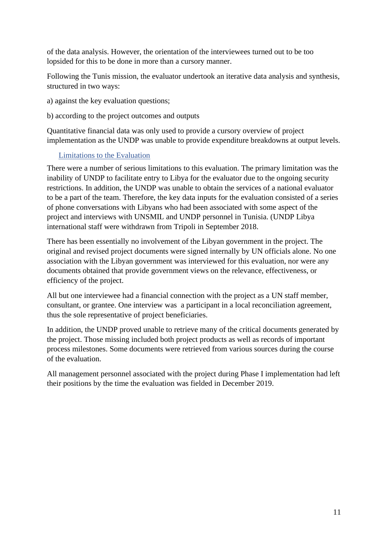of the data analysis. However, the orientation of the interviewees turned out to be too lopsided for this to be done in more than a cursory manner.

Following the Tunis mission, the evaluator undertook an iterative data analysis and synthesis, structured in two ways:

- a) against the key evaluation questions;
- b) according to the project outcomes and outputs

Quantitative financial data was only used to provide a cursory overview of project implementation as the UNDP was unable to provide expenditure breakdowns at output levels.

#### Limitations to the Evaluation

There were a number of serious limitations to this evaluation. The primary limitation was the inability of UNDP to facilitate entry to Libya for the evaluator due to the ongoing security restrictions. In addition, the UNDP was unable to obtain the services of a national evaluator to be a part of the team. Therefore, the key data inputs for the evaluation consisted of a series of phone conversations with Libyans who had been associated with some aspect of the project and interviews with UNSMIL and UNDP personnel in Tunisia. (UNDP Libya international staff were withdrawn from Tripoli in September 2018.

There has been essentially no involvement of the Libyan government in the project. The original and revised project documents were signed internally by UN officials alone. No one association with the Libyan government was interviewed for this evaluation, nor were any documents obtained that provide government views on the relevance, effectiveness, or efficiency of the project.

All but one interviewee had a financial connection with the project as a UN staff member, consultant, or grantee. One interview was a participant in a local reconciliation agreement, thus the sole representative of project beneficiaries.

In addition, the UNDP proved unable to retrieve many of the critical documents generated by the project. Those missing included both project products as well as records of important process milestones. Some documents were retrieved from various sources during the course of the evaluation.

All management personnel associated with the project during Phase I implementation had left their positions by the time the evaluation was fielded in December 2019.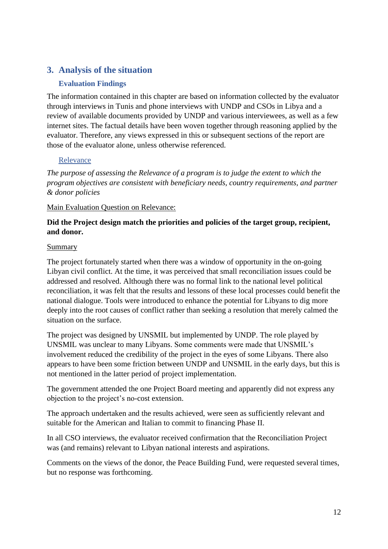# <span id="page-11-0"></span>**3. Analysis of the situation**

#### **Evaluation Findings**

<span id="page-11-1"></span>The information contained in this chapter are based on information collected by the evaluator through interviews in Tunis and phone interviews with UNDP and CSOs in Libya and a review of available documents provided by UNDP and various interviewees, as well as a few internet sites. The factual details have been woven together through reasoning applied by the evaluator. Therefore, any views expressed in this or subsequent sections of the report are those of the evaluator alone, unless otherwise referenced.

#### Relevance

*The purpose of assessing the Relevance of a program is to judge the extent to which the program objectives are consistent with beneficiary needs, country requirements, and partner & donor policies*

#### Main Evaluation Question on Relevance:

#### **Did the Project design match the priorities and policies of the target group, recipient, and donor.**

#### Summary

The project fortunately started when there was a window of opportunity in the on-going Libyan civil conflict. At the time, it was perceived that small reconciliation issues could be addressed and resolved. Although there was no formal link to the national level political reconciliation, it was felt that the results and lessons of these local processes could benefit the national dialogue. Tools were introduced to enhance the potential for Libyans to dig more deeply into the root causes of conflict rather than seeking a resolution that merely calmed the situation on the surface.

The project was designed by UNSMIL but implemented by UNDP. The role played by UNSMIL was unclear to many Libyans. Some comments were made that UNSMIL's involvement reduced the credibility of the project in the eyes of some Libyans. There also appears to have been some friction between UNDP and UNSMIL in the early days, but this is not mentioned in the latter period of project implementation.

The government attended the one Project Board meeting and apparently did not express any objection to the project's no-cost extension.

The approach undertaken and the results achieved, were seen as sufficiently relevant and suitable for the American and Italian to commit to financing Phase II.

In all CSO interviews, the evaluator received confirmation that the Reconciliation Project was (and remains) relevant to Libyan national interests and aspirations.

Comments on the views of the donor, the Peace Building Fund, were requested several times, but no response was forthcoming.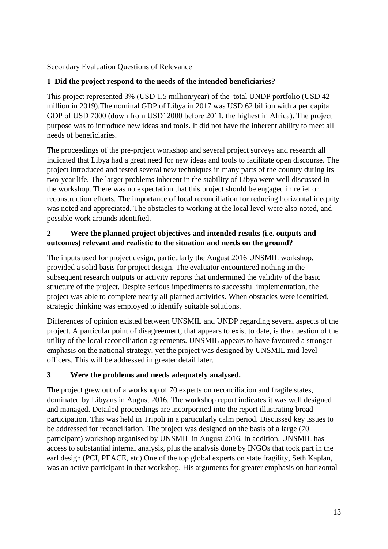Secondary Evaluation Questions of Relevance

# **1 Did the project respond to the needs of the intended beneficiaries?**

This project represented 3% (USD 1.5 million/year) of the total UNDP portfolio (USD 42 million in 2019).The nominal GDP of Libya in 2017 was USD 62 billion with a per capita GDP of USD 7000 (down from USD12000 before 2011, the highest in Africa). The project purpose was to introduce new ideas and tools. It did not have the inherent ability to meet all needs of beneficiaries.

The proceedings of the pre-project workshop and several project surveys and research all indicated that Libya had a great need for new ideas and tools to facilitate open discourse. The project introduced and tested several new techniques in many parts of the country during its two-year life. The larger problems inherent in the stability of Libya were well discussed in the workshop. There was no expectation that this project should be engaged in relief or reconstruction efforts. The importance of local reconciliation for reducing horizontal inequity was noted and appreciated. The obstacles to working at the local level were also noted, and possible work arounds identified.

# **2 Were the planned project objectives and intended results (i.e. outputs and outcomes) relevant and realistic to the situation and needs on the ground?**

The inputs used for project design, particularly the August 2016 UNSMIL workshop, provided a solid basis for project design. The evaluator encountered nothing in the subsequent research outputs or activity reports that undermined the validity of the basic structure of the project. Despite serious impediments to successful implementation, the project was able to complete nearly all planned activities. When obstacles were identified, strategic thinking was employed to identify suitable solutions.

Differences of opinion existed between UNSMIL and UNDP regarding several aspects of the project. A particular point of disagreement, that appears to exist to date, is the question of the utility of the local reconciliation agreements. UNSMIL appears to have favoured a stronger emphasis on the national strategy, yet the project was designed by UNSMIL mid-level officers. This will be addressed in greater detail later.

# **3 Were the problems and needs adequately analysed.**

The project grew out of a workshop of 70 experts on reconciliation and fragile states, dominated by Libyans in August 2016. The workshop report indicates it was well designed and managed. Detailed proceedings are incorporated into the report illustrating broad participation. This was held in Tripoli in a particularly calm period. Discussed key issues to be addressed for reconciliation. The project was designed on the basis of a large (70 participant) workshop organised by UNSMIL in August 2016. In addition, UNSMIL has access to substantial internal analysis, plus the analysis done by INGOs that took part in the earl design (PCI, PEACE, etc) One of the top global experts on state fragility, Seth Kaplan, was an active participant in that workshop. His arguments for greater emphasis on horizontal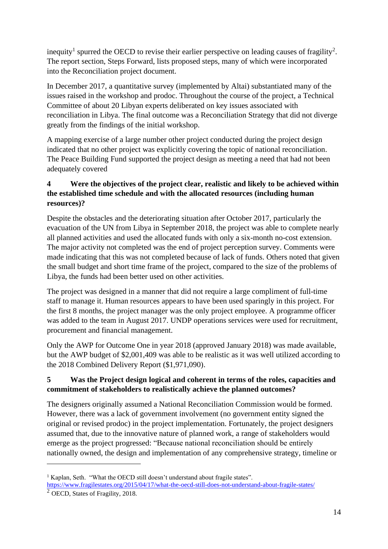inequity<sup>1</sup> spurred the OECD to revise their earlier perspective on leading causes of fragility<sup>2</sup>. The report section, Steps Forward, lists proposed steps, many of which were incorporated into the Reconciliation project document.

In December 2017, a quantitative survey (implemented by Altai) substantiated many of the issues raised in the workshop and prodoc. Throughout the course of the project, a Technical Committee of about 20 Libyan experts deliberated on key issues associated with reconciliation in Libya. The final outcome was a Reconciliation Strategy that did not diverge greatly from the findings of the initial workshop.

A mapping exercise of a large number other project conducted during the project design indicated that no other project was explicitly covering the topic of national reconciliation. The Peace Building Fund supported the project design as meeting a need that had not been adequately covered

# **4 Were the objectives of the project clear, realistic and likely to be achieved within the established time schedule and with the allocated resources (including human resources)?**

Despite the obstacles and the deteriorating situation after October 2017, particularly the evacuation of the UN from Libya in September 2018, the project was able to complete nearly all planned activities and used the allocated funds with only a six-month no-cost extension. The major activity not completed was the end of project perception survey. Comments were made indicating that this was not completed because of lack of funds. Others noted that given the small budget and short time frame of the project, compared to the size of the problems of Libya, the funds had been better used on other activities.

The project was designed in a manner that did not require a large compliment of full-time staff to manage it. Human resources appears to have been used sparingly in this project. For the first 8 months, the project manager was the only project employee. A programme officer was added to the team in August 2017. UNDP operations services were used for recruitment, procurement and financial management.

Only the AWP for Outcome One in year 2018 (approved January 2018) was made available, but the AWP budget of \$2,001,409 was able to be realistic as it was well utilized according to the 2018 Combined Delivery Report (\$1,971,090).

# **5 Was the Project design logical and coherent in terms of the roles, capacities and commitment of stakeholders to realistically achieve the planned outcomes?**

The designers originally assumed a National Reconciliation Commission would be formed. However, there was a lack of government involvement (no government entity signed the original or revised prodoc) in the project implementation. Fortunately, the project designers assumed that, due to the innovative nature of planned work, a range of stakeholders would emerge as the project progressed: "Because national reconciliation should be entirely nationally owned, the design and implementation of any comprehensive strategy, timeline or

<sup>&</sup>lt;sup>1</sup> Kaplan, Seth. "What the OECD still doesn't understand about fragile states". <https://www.fragilestates.org/2015/04/17/what-the-oecd-still-does-not-understand-about-fragile-states/>

<sup>2</sup> OECD, States of Fragility, 2018.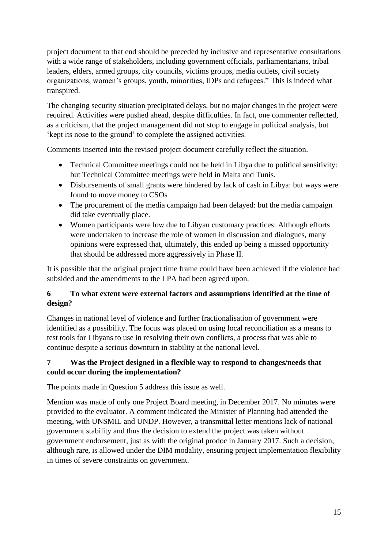project document to that end should be preceded by inclusive and representative consultations with a wide range of stakeholders, including government officials, parliamentarians, tribal leaders, elders, armed groups, city councils, victims groups, media outlets, civil society organizations, women's groups, youth, minorities, IDPs and refugees." This is indeed what transpired.

The changing security situation precipitated delays, but no major changes in the project were required. Activities were pushed ahead, despite difficulties. In fact, one commenter reflected, as a criticism, that the project management did not stop to engage in political analysis, but 'kept its nose to the ground' to complete the assigned activities.

Comments inserted into the revised project document carefully reflect the situation.

- Technical Committee meetings could not be held in Libya due to political sensitivity: but Technical Committee meetings were held in Malta and Tunis.
- Disbursements of small grants were hindered by lack of cash in Libya: but ways were found to move money to CSOs
- The procurement of the media campaign had been delayed: but the media campaign did take eventually place.
- Women participants were low due to Libyan customary practices: Although efforts were undertaken to increase the role of women in discussion and dialogues, many opinions were expressed that, ultimately, this ended up being a missed opportunity that should be addressed more aggressively in Phase II.

It is possible that the original project time frame could have been achieved if the violence had subsided and the amendments to the LPA had been agreed upon.

# **6 To what extent were external factors and assumptions identified at the time of design?**

Changes in national level of violence and further fractionalisation of government were identified as a possibility. The focus was placed on using local reconciliation as a means to test tools for Libyans to use in resolving their own conflicts, a process that was able to continue despite a serious downturn in stability at the national level.

# **7 Was the Project designed in a flexible way to respond to changes/needs that could occur during the implementation?**

The points made in Question 5 address this issue as well.

Mention was made of only one Project Board meeting, in December 2017. No minutes were provided to the evaluator. A comment indicated the Minister of Planning had attended the meeting, with UNSMIL and UNDP. However, a transmittal letter mentions lack of national government stability and thus the decision to extend the project was taken without government endorsement, just as with the original prodoc in January 2017. Such a decision, although rare, is allowed under the DIM modality, ensuring project implementation flexibility in times of severe constraints on government.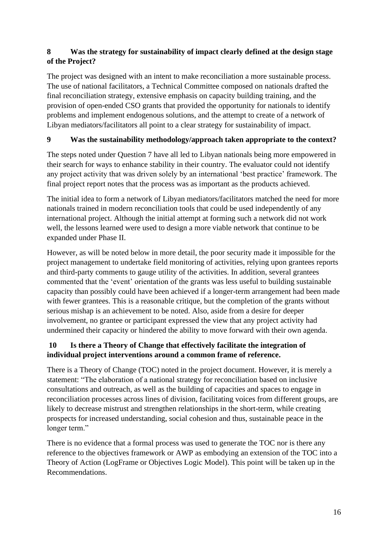# **8 Was the strategy for sustainability of impact clearly defined at the design stage of the Project?**

The project was designed with an intent to make reconciliation a more sustainable process. The use of national facilitators, a Technical Committee composed on nationals drafted the final reconciliation strategy, extensive emphasis on capacity building training, and the provision of open-ended CSO grants that provided the opportunity for nationals to identify problems and implement endogenous solutions, and the attempt to create of a network of Libyan mediators/facilitators all point to a clear strategy for sustainability of impact.

# **9 Was the sustainability methodology/approach taken appropriate to the context?**

The steps noted under Question 7 have all led to Libyan nationals being more empowered in their search for ways to enhance stability in their country. The evaluator could not identify any project activity that was driven solely by an international 'best practice' framework. The final project report notes that the process was as important as the products achieved.

The initial idea to form a network of Libyan mediators/facilitators matched the need for more nationals trained in modern reconciliation tools that could be used independently of any international project. Although the initial attempt at forming such a network did not work well, the lessons learned were used to design a more viable network that continue to be expanded under Phase II.

However, as will be noted below in more detail, the poor security made it impossible for the project management to undertake field monitoring of activities, relying upon grantees reports and third-party comments to gauge utility of the activities. In addition, several grantees commented that the 'event' orientation of the grants was less useful to building sustainable capacity than possibly could have been achieved if a longer-term arrangement had been made with fewer grantees. This is a reasonable critique, but the completion of the grants without serious mishap is an achievement to be noted. Also, aside from a desire for deeper involvement, no grantee or participant expressed the view that any project activity had undermined their capacity or hindered the ability to move forward with their own agenda.

# **10 Is there a Theory of Change that effectively facilitate the integration of individual project interventions around a common frame of reference.**

There is a Theory of Change (TOC) noted in the project document. However, it is merely a statement: "The elaboration of a national strategy for reconciliation based on inclusive consultations and outreach, as well as the building of capacities and spaces to engage in reconciliation processes across lines of division, facilitating voices from different groups, are likely to decrease mistrust and strengthen relationships in the short-term, while creating prospects for increased understanding, social cohesion and thus, sustainable peace in the longer term."

There is no evidence that a formal process was used to generate the TOC nor is there any reference to the objectives framework or AWP as embodying an extension of the TOC into a Theory of Action (LogFrame or Objectives Logic Model). This point will be taken up in the Recommendations.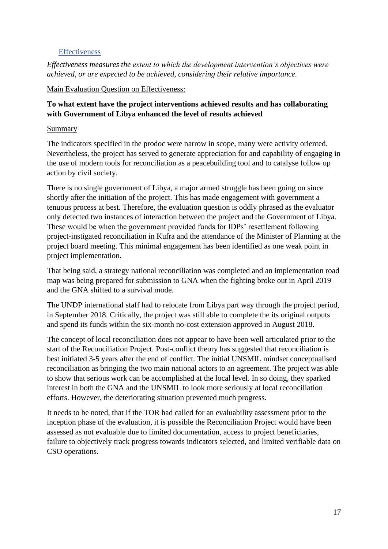#### Effectiveness

*Effectiveness measures the extent to which the development intervention's objectives were achieved, or are expected to be achieved, considering their relative importance.*

#### Main Evaluation Question on Effectiveness:

# **To what extent have the project interventions achieved results and has collaborating with Government of Libya enhanced the level of results achieved**

#### Summary

The indicators specified in the prodoc were narrow in scope, many were activity oriented. Nevertheless, the project has served to generate appreciation for and capability of engaging in the use of modern tools for reconciliation as a peacebuilding tool and to catalyse follow up action by civil society.

There is no single government of Libya, a major armed struggle has been going on since shortly after the initiation of the project. This has made engagement with government a tenuous process at best. Therefore, the evaluation question is oddly phrased as the evaluator only detected two instances of interaction between the project and the Government of Libya. These would be when the government provided funds for IDPs' resettlement following project-instigated reconciliation in Kufra and the attendance of the Minister of Planning at the project board meeting. This minimal engagement has been identified as one weak point in project implementation.

That being said, a strategy national reconciliation was completed and an implementation road map was being prepared for submission to GNA when the fighting broke out in April 2019 and the GNA shifted to a survival mode.

The UNDP international staff had to relocate from Libya part way through the project period, in September 2018. Critically, the project was still able to complete the its original outputs and spend its funds within the six-month no-cost extension approved in August 2018.

The concept of local reconciliation does not appear to have been well articulated prior to the start of the Reconciliation Project. Post-conflict theory has suggested that reconciliation is best initiated 3-5 years after the end of conflict. The initial UNSMIL mindset conceptualised reconciliation as bringing the two main national actors to an agreement. The project was able to show that serious work can be accomplished at the local level. In so doing, they sparked interest in both the GNA and the UNSMIL to look more seriously at local reconciliation efforts. However, the deteriorating situation prevented much progress.

It needs to be noted, that if the TOR had called for an evaluability assessment prior to the inception phase of the evaluation, it is possible the Reconciliation Project would have been assessed as not evaluable due to limited documentation, access to project beneficiaries, failure to objectively track progress towards indicators selected, and limited verifiable data on CSO operations.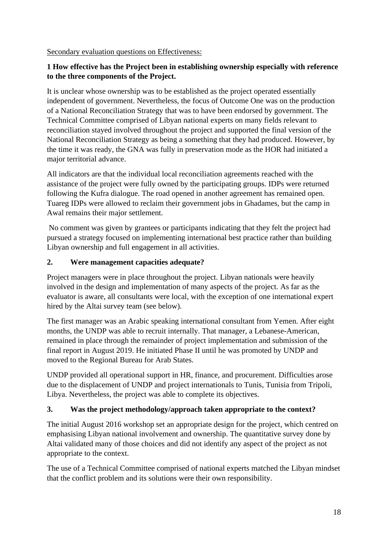#### Secondary evaluation questions on Effectiveness:

#### **1 How effective has the Project been in establishing ownership especially with reference to the three components of the Project.**

It is unclear whose ownership was to be established as the project operated essentially independent of government. Nevertheless, the focus of Outcome One was on the production of a National Reconciliation Strategy that was to have been endorsed by government. The Technical Committee comprised of Libyan national experts on many fields relevant to reconciliation stayed involved throughout the project and supported the final version of the National Reconciliation Strategy as being a something that they had produced. However, by the time it was ready, the GNA was fully in preservation mode as the HOR had initiated a major territorial advance.

All indicators are that the individual local reconciliation agreements reached with the assistance of the project were fully owned by the participating groups. IDPs were returned following the Kufra dialogue. The road opened in another agreement has remained open. Tuareg IDPs were allowed to reclaim their government jobs in Ghadames, but the camp in Awal remains their major settlement.

No comment was given by grantees or participants indicating that they felt the project had pursued a strategy focused on implementing international best practice rather than building Libyan ownership and full engagement in all activities.

#### **2. Were management capacities adequate?**

Project managers were in place throughout the project. Libyan nationals were heavily involved in the design and implementation of many aspects of the project. As far as the evaluator is aware, all consultants were local, with the exception of one international expert hired by the Altai survey team (see below).

The first manager was an Arabic speaking international consultant from Yemen. After eight months, the UNDP was able to recruit internally. That manager, a Lebanese-American, remained in place through the remainder of project implementation and submission of the final report in August 2019. He initiated Phase II until he was promoted by UNDP and moved to the Regional Bureau for Arab States.

UNDP provided all operational support in HR, finance, and procurement. Difficulties arose due to the displacement of UNDP and project internationals to Tunis, Tunisia from Tripoli, Libya. Nevertheless, the project was able to complete its objectives.

# **3. Was the project methodology/approach taken appropriate to the context?**

The initial August 2016 workshop set an appropriate design for the project, which centred on emphasising Libyan national involvement and ownership. The quantitative survey done by Altai validated many of those choices and did not identify any aspect of the project as not appropriate to the context.

The use of a Technical Committee comprised of national experts matched the Libyan mindset that the conflict problem and its solutions were their own responsibility.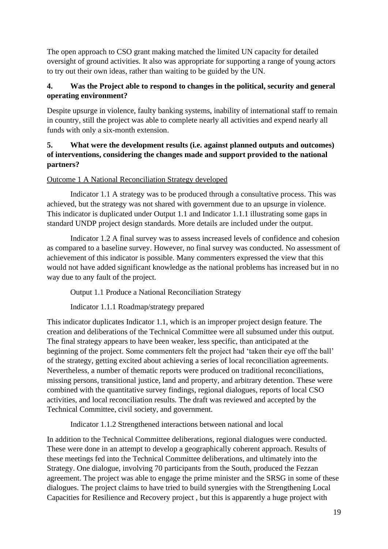The open approach to CSO grant making matched the limited UN capacity for detailed oversight of ground activities. It also was appropriate for supporting a range of young actors to try out their own ideas, rather than waiting to be guided by the UN.

# **4. Was the Project able to respond to changes in the political, security and general operating environment?**

Despite upsurge in violence, faulty banking systems, inability of international staff to remain in country, still the project was able to complete nearly all activities and expend nearly all funds with only a six-month extension.

# **5. What were the development results (i.e. against planned outputs and outcomes) of interventions, considering the changes made and support provided to the national partners?**

# Outcome 1 A National Reconciliation Strategy developed

Indicator 1.1 A strategy was to be produced through a consultative process. This was achieved, but the strategy was not shared with government due to an upsurge in violence. This indicator is duplicated under Output 1.1 and Indicator 1.1.1 illustrating some gaps in standard UNDP project design standards. More details are included under the output.

Indicator 1.2 A final survey was to assess increased levels of confidence and cohesion as compared to a baseline survey. However, no final survey was conducted. No assessment of achievement of this indicator is possible. Many commenters expressed the view that this would not have added significant knowledge as the national problems has increased but in no way due to any fault of the project.

Output 1.1 Produce a National Reconciliation Strategy

Indicator 1.1.1 Roadmap/strategy prepared

This indicator duplicates Indicator 1.1, which is an improper project design feature. The creation and deliberations of the Technical Committee were all subsumed under this output. The final strategy appears to have been weaker, less specific, than anticipated at the beginning of the project. Some commenters felt the project had 'taken their eye off the ball' of the strategy, getting excited about achieving a series of local reconciliation agreements. Nevertheless, a number of thematic reports were produced on traditional reconciliations, missing persons, transitional justice, land and property, and arbitrary detention. These were combined with the quantitative survey findings, regional dialogues, reports of local CSO activities, and local reconciliation results. The draft was reviewed and accepted by the Technical Committee, civil society, and government.

Indicator 1.1.2 Strengthened interactions between national and local

In addition to the Technical Committee deliberations, regional dialogues were conducted. These were done in an attempt to develop a geographically coherent approach. Results of these meetings fed into the Technical Committee deliberations, and ultimately into the Strategy. One dialogue, involving 70 participants from the South, produced the Fezzan agreement. The project was able to engage the prime minister and the SRSG in some of these dialogues. The project claims to have tried to build synergies with the Strengthening Local Capacities for Resilience and Recovery project , but this is apparently a huge project with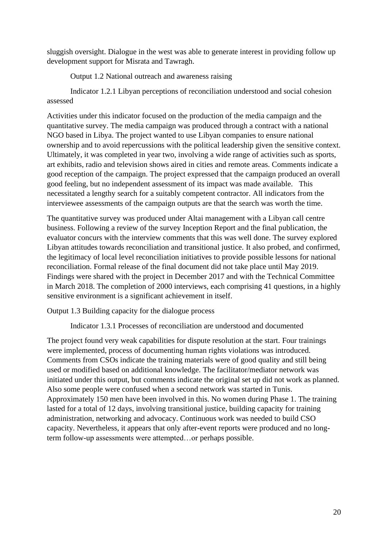sluggish oversight. Dialogue in the west was able to generate interest in providing follow up development support for Misrata and Tawragh.

Output 1.2 National outreach and awareness raising

Indicator 1.2.1 Libyan perceptions of reconciliation understood and social cohesion assessed

Activities under this indicator focused on the production of the media campaign and the quantitative survey. The media campaign was produced through a contract with a national NGO based in Libya. The project wanted to use Libyan companies to ensure national ownership and to avoid repercussions with the political leadership given the sensitive context. Ultimately, it was completed in year two, involving a wide range of activities such as sports, art exhibits, radio and television shows aired in cities and remote areas. Comments indicate a good reception of the campaign. The project expressed that the campaign produced an overall good feeling, but no independent assessment of its impact was made available. This necessitated a lengthy search for a suitably competent contractor. All indicators from the interviewee assessments of the campaign outputs are that the search was worth the time.

The quantitative survey was produced under Altai management with a Libyan call centre business. Following a review of the survey Inception Report and the final publication, the evaluator concurs with the interview comments that this was well done. The survey explored Libyan attitudes towards reconciliation and transitional justice. It also probed, and confirmed, the legitimacy of local level reconciliation initiatives to provide possible lessons for national reconciliation. Formal release of the final document did not take place until May 2019. Findings were shared with the project in December 2017 and with the Technical Committee in March 2018. The completion of 2000 interviews, each comprising 41 questions, in a highly sensitive environment is a significant achievement in itself.

Output 1.3 Building capacity for the dialogue process

Indicator 1.3.1 Processes of reconciliation are understood and documented

The project found very weak capabilities for dispute resolution at the start. Four trainings were implemented, process of documenting human rights violations was introduced. Comments from CSOs indicate the training materials were of good quality and still being used or modified based on additional knowledge. The facilitator/mediator network was initiated under this output, but comments indicate the original set up did not work as planned. Also some people were confused when a second network was started in Tunis. Approximately 150 men have been involved in this. No women during Phase 1. The training lasted for a total of 12 days, involving transitional justice, building capacity for training administration, networking and advocacy. Continuous work was needed to build CSO capacity. Nevertheless, it appears that only after-event reports were produced and no longterm follow-up assessments were attempted…or perhaps possible.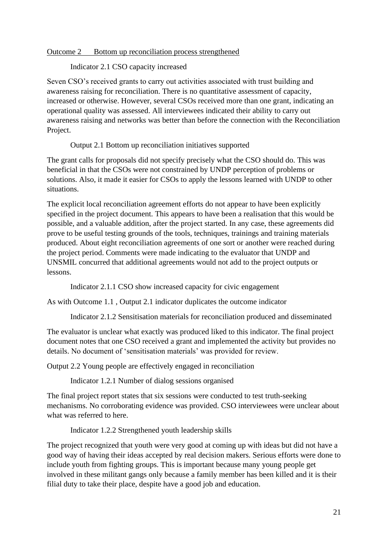#### Outcome 2 Bottom up reconciliation process strengthened

Indicator 2.1 CSO capacity increased

Seven CSO's received grants to carry out activities associated with trust building and awareness raising for reconciliation. There is no quantitative assessment of capacity, increased or otherwise. However, several CSOs received more than one grant, indicating an operational quality was assessed. All interviewees indicated their ability to carry out awareness raising and networks was better than before the connection with the Reconciliation Project.

#### Output 2.1 Bottom up reconciliation initiatives supported

The grant calls for proposals did not specify precisely what the CSO should do. This was beneficial in that the CSOs were not constrained by UNDP perception of problems or solutions. Also, it made it easier for CSOs to apply the lessons learned with UNDP to other situations.

The explicit local reconciliation agreement efforts do not appear to have been explicitly specified in the project document. This appears to have been a realisation that this would be possible, and a valuable addition, after the project started. In any case, these agreements did prove to be useful testing grounds of the tools, techniques, trainings and training materials produced. About eight reconciliation agreements of one sort or another were reached during the project period. Comments were made indicating to the evaluator that UNDP and UNSMIL concurred that additional agreements would not add to the project outputs or lessons.

Indicator 2.1.1 CSO show increased capacity for civic engagement

As with Outcome 1.1 , Output 2.1 indicator duplicates the outcome indicator

Indicator 2.1.2 Sensitisation materials for reconciliation produced and disseminated

The evaluator is unclear what exactly was produced liked to this indicator. The final project document notes that one CSO received a grant and implemented the activity but provides no details. No document of 'sensitisation materials' was provided for review.

Output 2.2 Young people are effectively engaged in reconciliation

Indicator 1.2.1 Number of dialog sessions organised

The final project report states that six sessions were conducted to test truth-seeking mechanisms. No corroborating evidence was provided. CSO interviewees were unclear about what was referred to here.

Indicator 1.2.2 Strengthened youth leadership skills

The project recognized that youth were very good at coming up with ideas but did not have a good way of having their ideas accepted by real decision makers. Serious efforts were done to include youth from fighting groups. This is important because many young people get involved in these militant gangs only because a family member has been killed and it is their filial duty to take their place, despite have a good job and education.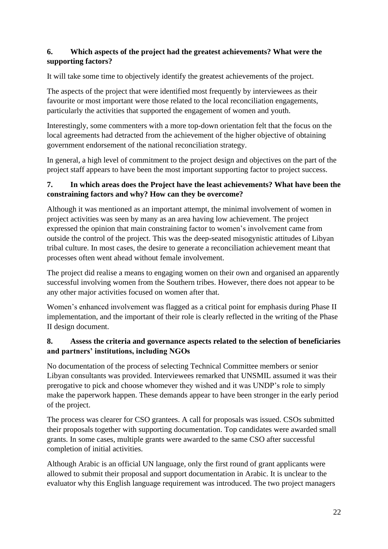# **6. Which aspects of the project had the greatest achievements? What were the supporting factors?**

It will take some time to objectively identify the greatest achievements of the project.

The aspects of the project that were identified most frequently by interviewees as their favourite or most important were those related to the local reconciliation engagements, particularly the activities that supported the engagement of women and youth.

Interestingly, some commenters with a more top-down orientation felt that the focus on the local agreements had detracted from the achievement of the higher objective of obtaining government endorsement of the national reconciliation strategy.

In general, a high level of commitment to the project design and objectives on the part of the project staff appears to have been the most important supporting factor to project success.

# **7. In which areas does the Project have the least achievements? What have been the constraining factors and why? How can they be overcome?**

Although it was mentioned as an important attempt, the minimal involvement of women in project activities was seen by many as an area having low achievement. The project expressed the opinion that main constraining factor to women's involvement came from outside the control of the project. This was the deep-seated misogynistic attitudes of Libyan tribal culture. In most cases, the desire to generate a reconciliation achievement meant that processes often went ahead without female involvement.

The project did realise a means to engaging women on their own and organised an apparently successful involving women from the Southern tribes. However, there does not appear to be any other major activities focused on women after that.

Women's enhanced involvement was flagged as a critical point for emphasis during Phase II implementation, and the important of their role is clearly reflected in the writing of the Phase II design document.

#### **8. Assess the criteria and governance aspects related to the selection of beneficiaries and partners' institutions, including NGOs**

No documentation of the process of selecting Technical Committee members or senior Libyan consultants was provided. Interviewees remarked that UNSMIL assumed it was their prerogative to pick and choose whomever they wished and it was UNDP's role to simply make the paperwork happen. These demands appear to have been stronger in the early period of the project.

The process was clearer for CSO grantees. A call for proposals was issued. CSOs submitted their proposals together with supporting documentation. Top candidates were awarded small grants. In some cases, multiple grants were awarded to the same CSO after successful completion of initial activities.

Although Arabic is an official UN language, only the first round of grant applicants were allowed to submit their proposal and support documentation in Arabic. It is unclear to the evaluator why this English language requirement was introduced. The two project managers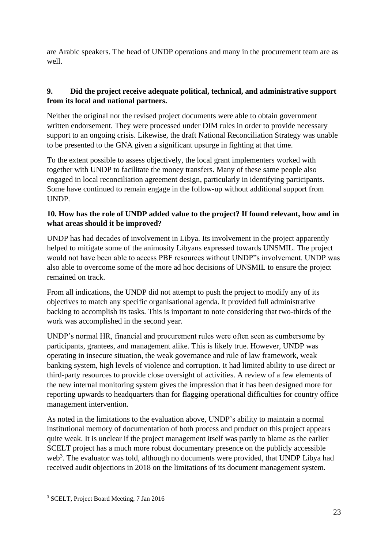are Arabic speakers. The head of UNDP operations and many in the procurement team are as well.

# **9. Did the project receive adequate political, technical, and administrative support from its local and national partners.**

Neither the original nor the revised project documents were able to obtain government written endorsement. They were processed under DIM rules in order to provide necessary support to an ongoing crisis. Likewise, the draft National Reconciliation Strategy was unable to be presented to the GNA given a significant upsurge in fighting at that time.

To the extent possible to assess objectively, the local grant implementers worked with together with UNDP to facilitate the money transfers. Many of these same people also engaged in local reconciliation agreement design, particularly in identifying participants. Some have continued to remain engage in the follow-up without additional support from UNDP.

# **10. How has the role of UNDP added value to the project? If found relevant, how and in what areas should it be improved?**

UNDP has had decades of involvement in Libya. Its involvement in the project apparently helped to mitigate some of the animosity Libyans expressed towards UNSMIL. The project would not have been able to access PBF resources without UNDP"s involvement. UNDP was also able to overcome some of the more ad hoc decisions of UNSMIL to ensure the project remained on track.

From all indications, the UNDP did not attempt to push the project to modify any of its objectives to match any specific organisational agenda. It provided full administrative backing to accomplish its tasks. This is important to note considering that two-thirds of the work was accomplished in the second year.

UNDP's normal HR, financial and procurement rules were often seen as cumbersome by participants, grantees, and management alike. This is likely true. However, UNDP was operating in insecure situation, the weak governance and rule of law framework, weak banking system, high levels of violence and corruption. It had limited ability to use direct or third-party resources to provide close oversight of activities. A review of a few elements of the new internal monitoring system gives the impression that it has been designed more for reporting upwards to headquarters than for flagging operational difficulties for country office management intervention.

As noted in the limitations to the evaluation above, UNDP's ability to maintain a normal institutional memory of documentation of both process and product on this project appears quite weak. It is unclear if the project management itself was partly to blame as the earlier SCELT project has a much more robust documentary presence on the publicly accessible web<sup>3</sup>. The evaluator was told, although no documents were provided, that UNDP Libya had received audit objections in 2018 on the limitations of its document management system.

<sup>3</sup> SCELT, Project Board Meeting, 7 Jan 2016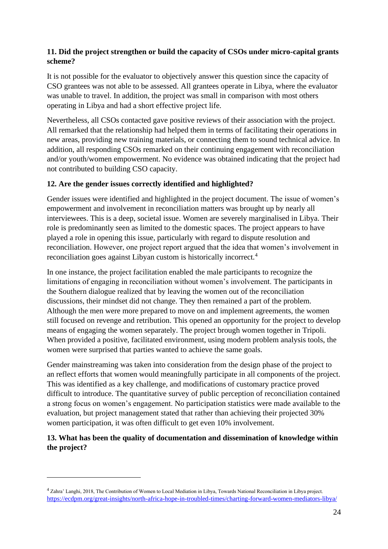# **11. Did the project strengthen or build the capacity of CSOs under micro-capital grants scheme?**

It is not possible for the evaluator to objectively answer this question since the capacity of CSO grantees was not able to be assessed. All grantees operate in Libya, where the evaluator was unable to travel. In addition, the project was small in comparison with most others operating in Libya and had a short effective project life.

Nevertheless, all CSOs contacted gave positive reviews of their association with the project. All remarked that the relationship had helped them in terms of facilitating their operations in new areas, providing new training materials, or connecting them to sound technical advice. In addition, all responding CSOs remarked on their continuing engagement with reconciliation and/or youth/women empowerment. No evidence was obtained indicating that the project had not contributed to building CSO capacity.

# **12. Are the gender issues correctly identified and highlighted?**

Gender issues were identified and highlighted in the project document. The issue of women's empowerment and involvement in reconciliation matters was brought up by nearly all interviewees. This is a deep, societal issue. Women are severely marginalised in Libya. Their role is predominantly seen as limited to the domestic spaces. The project appears to have played a role in opening this issue, particularly with regard to dispute resolution and reconciliation. However, one project report argued that the idea that women's involvement in reconciliation goes against Libyan custom is historically incorrect.<sup>4</sup>

In one instance, the project facilitation enabled the male participants to recognize the limitations of engaging in reconciliation without women's involvement. The participants in the Southern dialogue realized that by leaving the women out of the reconciliation discussions, their mindset did not change. They then remained a part of the problem. Although the men were more prepared to move on and implement agreements, the women still focused on revenge and retribution. This opened an opportunity for the project to develop means of engaging the women separately. The project brough women together in Tripoli. When provided a positive, facilitated environment, using modern problem analysis tools, the women were surprised that parties wanted to achieve the same goals.

Gender mainstreaming was taken into consideration from the design phase of the project to an reflect efforts that women would meaningfully participate in all components of the project. This was identified as a key challenge, and modifications of customary practice proved difficult to introduce. The quantitative survey of public perception of reconciliation contained a strong focus on women's engagement. No participation statistics were made available to the evaluation, but project management stated that rather than achieving their projected 30% women participation, it was often difficult to get even 10% involvement.

#### **13. What has been the quality of documentation and dissemination of knowledge within the project?**

<sup>4</sup> Zahra' Langhi, 2018, The Contribution of Women to Local Mediation in Libya, Towards National Reconciliation in Libya project. <https://ecdpm.org/great-insights/north-africa-hope-in-troubled-times/charting-forward-women-mediators-libya/>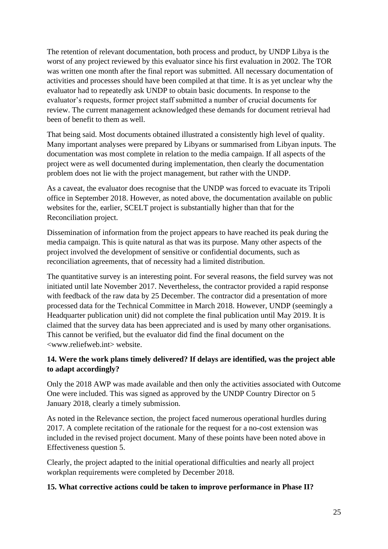The retention of relevant documentation, both process and product, by UNDP Libya is the worst of any project reviewed by this evaluator since his first evaluation in 2002. The TOR was written one month after the final report was submitted. All necessary documentation of activities and processes should have been compiled at that time. It is as yet unclear why the evaluator had to repeatedly ask UNDP to obtain basic documents. In response to the evaluator's requests, former project staff submitted a number of crucial documents for review. The current management acknowledged these demands for document retrieval had been of benefit to them as well.

That being said. Most documents obtained illustrated a consistently high level of quality. Many important analyses were prepared by Libyans or summarised from Libyan inputs. The documentation was most complete in relation to the media campaign. If all aspects of the project were as well documented during implementation, then clearly the documentation problem does not lie with the project management, but rather with the UNDP.

As a caveat, the evaluator does recognise that the UNDP was forced to evacuate its Tripoli office in September 2018. However, as noted above, the documentation available on public websites for the, earlier, SCELT project is substantially higher than that for the Reconciliation project.

Dissemination of information from the project appears to have reached its peak during the media campaign. This is quite natural as that was its purpose. Many other aspects of the project involved the development of sensitive or confidential documents, such as reconciliation agreements, that of necessity had a limited distribution.

The quantitative survey is an interesting point. For several reasons, the field survey was not initiated until late November 2017. Nevertheless, the contractor provided a rapid response with feedback of the raw data by 25 December. The contractor did a presentation of more processed data for the Technical Committee in March 2018. However, UNDP (seemingly a Headquarter publication unit) did not complete the final publication until May 2019. It is claimed that the survey data has been appreciated and is used by many other organisations. This cannot be verified, but the evaluator did find the final document on the <www.reliefweb.int> website.

#### **14. Were the work plans timely delivered? If delays are identified, was the project able to adapt accordingly?**

Only the 2018 AWP was made available and then only the activities associated with Outcome One were included. This was signed as approved by the UNDP Country Director on 5 January 2018, clearly a timely submission.

As noted in the Relevance section, the project faced numerous operational hurdles during 2017. A complete recitation of the rationale for the request for a no-cost extension was included in the revised project document. Many of these points have been noted above in Effectiveness question 5.

Clearly, the project adapted to the initial operational difficulties and nearly all project workplan requirements were completed by December 2018.

#### **15. What corrective actions could be taken to improve performance in Phase II?**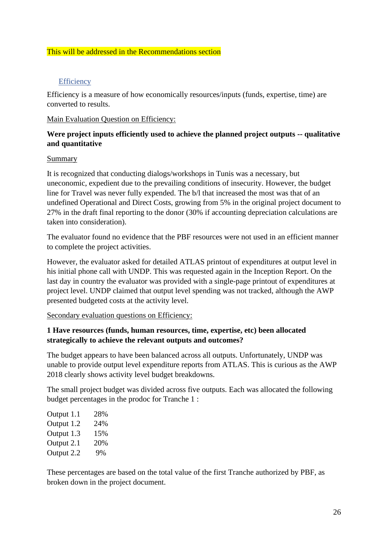#### This will be addressed in the Recommendations section

#### **Efficiency**

Efficiency is a measure of how economically resources/inputs (funds, expertise, time) are converted to results.

Main Evaluation Question on Efficiency:

#### **Were project inputs efficiently used to achieve the planned project outputs -- qualitative and quantitative**

#### Summary

It is recognized that conducting dialogs/workshops in Tunis was a necessary, but uneconomic, expedient due to the prevailing conditions of insecurity. However, the budget line for Travel was never fully expended. The b/l that increased the most was that of an undefined Operational and Direct Costs, growing from 5% in the original project document to 27% in the draft final reporting to the donor (30% if accounting depreciation calculations are taken into consideration).

The evaluator found no evidence that the PBF resources were not used in an efficient manner to complete the project activities.

However, the evaluator asked for detailed ATLAS printout of expenditures at output level in his initial phone call with UNDP. This was requested again in the Inception Report. On the last day in country the evaluator was provided with a single-page printout of expenditures at project level. UNDP claimed that output level spending was not tracked, although the AWP presented budgeted costs at the activity level.

Secondary evaluation questions on Efficiency:

#### **1 Have resources (funds, human resources, time, expertise, etc) been allocated strategically to achieve the relevant outputs and outcomes?**

The budget appears to have been balanced across all outputs. Unfortunately, UNDP was unable to provide output level expenditure reports from ATLAS. This is curious as the AWP 2018 clearly shows activity level budget breakdowns.

The small project budget was divided across five outputs. Each was allocated the following budget percentages in the prodoc for Tranche 1 :

| Output 1.1 | 28% |
|------------|-----|
| Output 1.2 | 24% |
| Output 1.3 | 15% |
| Output 2.1 | 20% |
| Output 2.2 | 9%  |

These percentages are based on the total value of the first Tranche authorized by PBF, as broken down in the project document.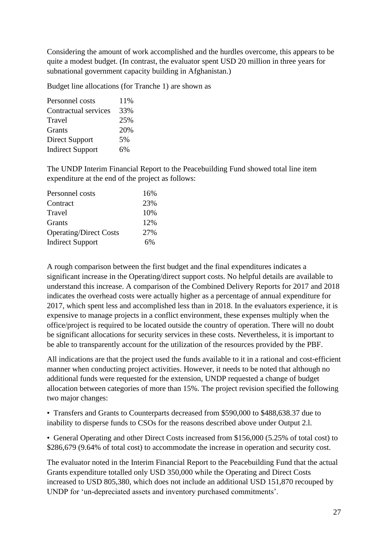Considering the amount of work accomplished and the hurdles overcome, this appears to be quite a modest budget. (In contrast, the evaluator spent USD 20 million in three years for subnational government capacity building in Afghanistan.)

Budget line allocations (for Tranche 1) are shown as

Personnel costs 11% Contractual services 33% Travel 25% Grants 20% Direct Support 5% Indirect Support 6%

The UNDP Interim Financial Report to the Peacebuilding Fund showed total line item expenditure at the end of the project as follows:

| Personnel costs               | 16% |
|-------------------------------|-----|
| Contract                      | 23% |
| Travel                        | 10% |
| Grants                        | 12% |
| <b>Operating/Direct Costs</b> | 27% |
| <b>Indirect Support</b>       | 6%  |

A rough comparison between the first budget and the final expenditures indicates a significant increase in the Operating/direct support costs. No helpful details are available to understand this increase. A comparison of the Combined Delivery Reports for 2017 and 2018 indicates the overhead costs were actually higher as a percentage of annual expenditure for 2017, which spent less and accomplished less than in 2018. In the evaluators experience, it is expensive to manage projects in a conflict environment, these expenses multiply when the office/project is required to be located outside the country of operation. There will no doubt be significant allocations for security services in these costs. Nevertheless, it is important to be able to transparently account for the utilization of the resources provided by the PBF.

All indications are that the project used the funds available to it in a rational and cost-efficient manner when conducting project activities. However, it needs to be noted that although no additional funds were requested for the extension, UNDP requested a change of budget allocation between categories of more than 15%. The project revision specified the following two major changes:

• Transfers and Grants to Counterparts decreased from \$590,000 to \$488,638.37 due to inability to disperse funds to CSOs for the reasons described above under Output 2.l.

• General Operating and other Direct Costs increased from \$156,000 (5.25% of total cost) to \$286,679 (9.64% of total cost) to accommodate the increase in operation and security cost.

The evaluator noted in the Interim Financial Report to the Peacebuilding Fund that the actual Grants expenditure totalled only USD 350,000 while the Operating and Direct Costs increased to USD 805,380, which does not include an additional USD 151,870 recouped by UNDP for 'un-depreciated assets and inventory purchased commitments'.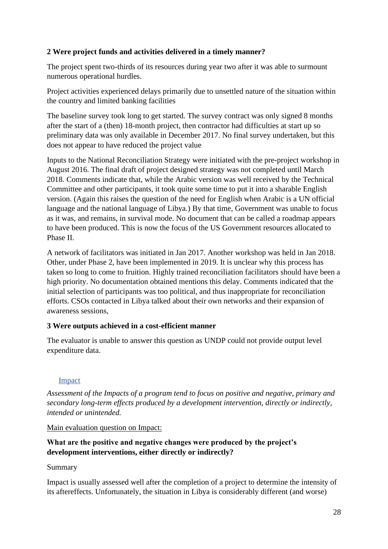#### **2 Were project funds and activities delivered in a timely manner?**

The project spent two-thirds of its resources during year two after it was able to surmount numerous operational hurdles.

Project activities experienced delays primarily due to unsettled nature of the situation within the country and limited banking facilities

The baseline survey took long to get started. The survey contract was only signed 8 months after the start of a (then) 18-month project, then contractor had difficulties at start up so preliminary data was only available in December 2017. No final survey undertaken, but this does not appear to have reduced the project value

Inputs to the National Reconciliation Strategy were initiated with the pre-project workshop in August 2016. The final draft of project designed strategy was not completed until March 2018. Comments indicate that, while the Arabic version was well received by the Technical Committee and other participants, it took quite some time to put it into a sharable English version. (Again this raises the question of the need for English when Arabic is a UN official language and the national language of Libya.) By that time, Government was unable to focus as it was, and remains, in survival mode. No document that can be called a roadmap appears to have been produced. This is now the focus of the US Government resources allocated to Phase II.

A network of facilitators was initiated in Jan 2017. Another workshop was held in Jan 2018. Other, under Phase 2, have been implemented in 2019. It is unclear why this process has taken so long to come to fruition. Highly trained reconciliation facilitators should have been a high priority. No documentation obtained mentions this delay. Comments indicated that the initial selection of participants was too political, and thus inappropriate for reconciliation efforts. CSOs contacted in Libya talked about their own networks and their expansion of awareness sessions,

#### **3 Were outputs achieved in a cost-efficient manner**

The evaluator is unable to answer this question as UNDP could not provide output level expenditure data.

#### Impact

*Assessment of the Impacts of a program tend to focus on positive and negative, primary and secondary long-term effects produced by a development intervention, directly or indirectly, intended or unintended.*

Main evaluation question on Impact:

#### **What are the positive and negative changes were produced by the project's development interventions, either directly or indirectly?**

#### Summary

Impact is usually assessed well after the completion of a project to determine the intensity of its aftereffects. Unfortunately, the situation in Libya is considerably different (and worse)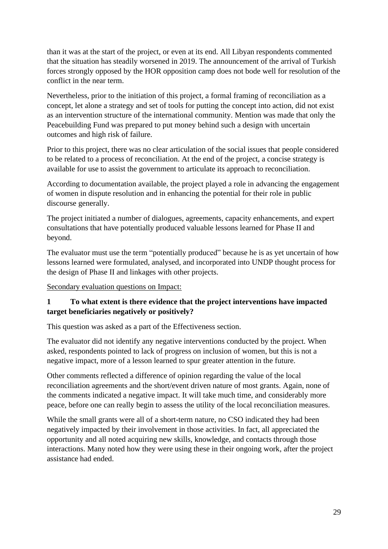than it was at the start of the project, or even at its end. All Libyan respondents commented that the situation has steadily worsened in 2019. The announcement of the arrival of Turkish forces strongly opposed by the HOR opposition camp does not bode well for resolution of the conflict in the near term.

Nevertheless, prior to the initiation of this project, a formal framing of reconciliation as a concept, let alone a strategy and set of tools for putting the concept into action, did not exist as an intervention structure of the international community. Mention was made that only the Peacebuilding Fund was prepared to put money behind such a design with uncertain outcomes and high risk of failure.

Prior to this project, there was no clear articulation of the social issues that people considered to be related to a process of reconciliation. At the end of the project, a concise strategy is available for use to assist the government to articulate its approach to reconciliation.

According to documentation available, the project played a role in advancing the engagement of women in dispute resolution and in enhancing the potential for their role in public discourse generally.

The project initiated a number of dialogues, agreements, capacity enhancements, and expert consultations that have potentially produced valuable lessons learned for Phase II and beyond.

The evaluator must use the term "potentially produced" because he is as yet uncertain of how lessons learned were formulated, analysed, and incorporated into UNDP thought process for the design of Phase II and linkages with other projects.

Secondary evaluation questions on Impact:

#### **1 To what extent is there evidence that the project interventions have impacted target beneficiaries negatively or positively?**

This question was asked as a part of the Effectiveness section.

The evaluator did not identify any negative interventions conducted by the project. When asked, respondents pointed to lack of progress on inclusion of women, but this is not a negative impact, more of a lesson learned to spur greater attention in the future.

Other comments reflected a difference of opinion regarding the value of the local reconciliation agreements and the short/event driven nature of most grants. Again, none of the comments indicated a negative impact. It will take much time, and considerably more peace, before one can really begin to assess the utility of the local reconciliation measures.

While the small grants were all of a short-term nature, no CSO indicated they had been negatively impacted by their involvement in those activities. In fact, all appreciated the opportunity and all noted acquiring new skills, knowledge, and contacts through those interactions. Many noted how they were using these in their ongoing work, after the project assistance had ended.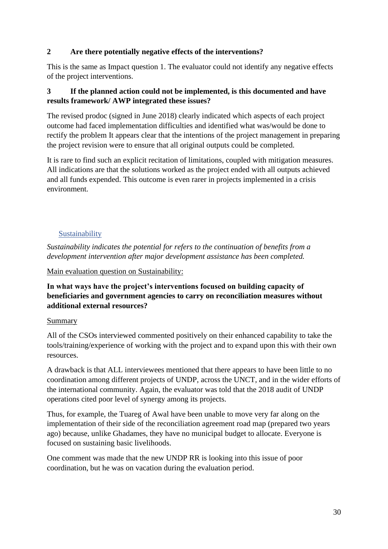#### **2 Are there potentially negative effects of the interventions?**

This is the same as Impact question 1. The evaluator could not identify any negative effects of the project interventions.

#### **3 If the planned action could not be implemented, is this documented and have results framework/ AWP integrated these issues?**

The revised prodoc (signed in June 2018) clearly indicated which aspects of each project outcome had faced implementation difficulties and identified what was/would be done to rectify the problem It appears clear that the intentions of the project management in preparing the project revision were to ensure that all original outputs could be completed.

It is rare to find such an explicit recitation of limitations, coupled with mitigation measures. All indications are that the solutions worked as the project ended with all outputs achieved and all funds expended. This outcome is even rarer in projects implemented in a crisis environment.

#### **Sustainability**

*Sustainability indicates the potential for refers to the continuation of benefits from a development intervention after major development assistance has been completed.*

Main evaluation question on Sustainability:

#### **In what ways have the project's interventions focused on building capacity of beneficiaries and government agencies to carry on reconciliation measures without additional external resources?**

#### Summary

All of the CSOs interviewed commented positively on their enhanced capability to take the tools/training/experience of working with the project and to expand upon this with their own resources.

A drawback is that ALL interviewees mentioned that there appears to have been little to no coordination among different projects of UNDP, across the UNCT, and in the wider efforts of the international community. Again, the evaluator was told that the 2018 audit of UNDP operations cited poor level of synergy among its projects.

Thus, for example, the Tuareg of Awal have been unable to move very far along on the implementation of their side of the reconciliation agreement road map (prepared two years ago) because, unlike Ghadames, they have no municipal budget to allocate. Everyone is focused on sustaining basic livelihoods.

One comment was made that the new UNDP RR is looking into this issue of poor coordination, but he was on vacation during the evaluation period.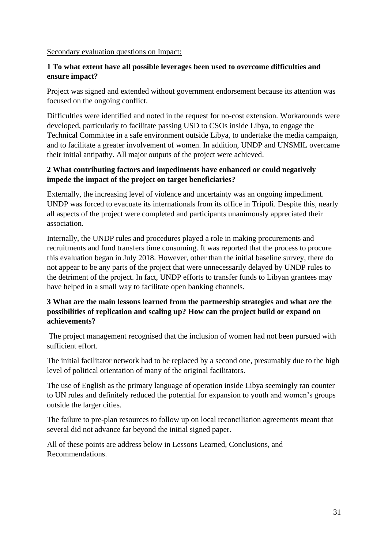#### Secondary evaluation questions on Impact:

#### **1 To what extent have all possible leverages been used to overcome difficulties and ensure impact?**

Project was signed and extended without government endorsement because its attention was focused on the ongoing conflict.

Difficulties were identified and noted in the request for no-cost extension. Workarounds were developed, particularly to facilitate passing USD to CSOs inside Libya, to engage the Technical Committee in a safe environment outside Libya, to undertake the media campaign, and to facilitate a greater involvement of women. In addition, UNDP and UNSMIL overcame their initial antipathy. All major outputs of the project were achieved.

#### **2 What contributing factors and impediments have enhanced or could negatively impede the impact of the project on target beneficiaries?**

Externally, the increasing level of violence and uncertainty was an ongoing impediment. UNDP was forced to evacuate its internationals from its office in Tripoli. Despite this, nearly all aspects of the project were completed and participants unanimously appreciated their association.

Internally, the UNDP rules and procedures played a role in making procurements and recruitments and fund transfers time consuming. It was reported that the process to procure this evaluation began in July 2018. However, other than the initial baseline survey, there do not appear to be any parts of the project that were unnecessarily delayed by UNDP rules to the detriment of the project. In fact, UNDP efforts to transfer funds to Libyan grantees may have helped in a small way to facilitate open banking channels.

#### **3 What are the main lessons learned from the partnership strategies and what are the possibilities of replication and scaling up? How can the project build or expand on achievements?**

The project management recognised that the inclusion of women had not been pursued with sufficient effort.

The initial facilitator network had to be replaced by a second one, presumably due to the high level of political orientation of many of the original facilitators.

The use of English as the primary language of operation inside Libya seemingly ran counter to UN rules and definitely reduced the potential for expansion to youth and women's groups outside the larger cities.

The failure to pre-plan resources to follow up on local reconciliation agreements meant that several did not advance far beyond the initial signed paper.

All of these points are address below in Lessons Learned, Conclusions, and Recommendations.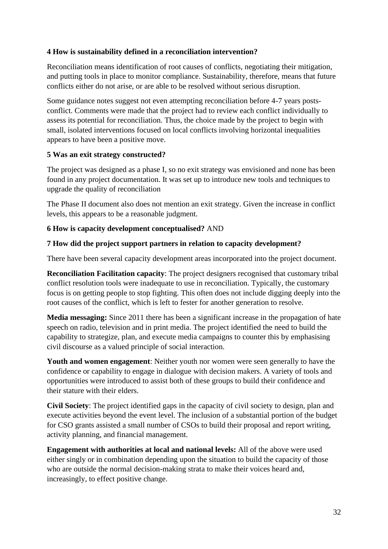#### **4 How is sustainability defined in a reconciliation intervention?**

Reconciliation means identification of root causes of conflicts, negotiating their mitigation, and putting tools in place to monitor compliance. Sustainability, therefore, means that future conflicts either do not arise, or are able to be resolved without serious disruption.

Some guidance notes suggest not even attempting reconciliation before 4-7 years postsconflict. Comments were made that the project had to review each conflict individually to assess its potential for reconciliation. Thus, the choice made by the project to begin with small, isolated interventions focused on local conflicts involving horizontal inequalities appears to have been a positive move.

#### **5 Was an exit strategy constructed?**

The project was designed as a phase I, so no exit strategy was envisioned and none has been found in any project documentation. It was set up to introduce new tools and techniques to upgrade the quality of reconciliation

The Phase II document also does not mention an exit strategy. Given the increase in conflict levels, this appears to be a reasonable judgment.

#### **6 How is capacity development conceptualised?** AND

#### **7 How did the project support partners in relation to capacity development?**

There have been several capacity development areas incorporated into the project document.

**Reconciliation Facilitation capacity**: The project designers recognised that customary tribal conflict resolution tools were inadequate to use in reconciliation. Typically, the customary focus is on getting people to stop fighting. This often does not include digging deeply into the root causes of the conflict, which is left to fester for another generation to resolve.

**Media messaging:** Since 2011 there has been a significant increase in the propagation of hate speech on radio, television and in print media. The project identified the need to build the capability to strategize, plan, and execute media campaigns to counter this by emphasising civil discourse as a valued principle of social interaction.

**Youth and women engagement**: Neither youth nor women were seen generally to have the confidence or capability to engage in dialogue with decision makers. A variety of tools and opportunities were introduced to assist both of these groups to build their confidence and their stature with their elders.

**Civil Society**: The project identified gaps in the capacity of civil society to design, plan and execute activities beyond the event level. The inclusion of a substantial portion of the budget for CSO grants assisted a small number of CSOs to build their proposal and report writing, activity planning, and financial management.

**Engagement with authorities at local and national levels:** All of the above were used either singly or in combination depending upon the situation to build the capacity of those who are outside the normal decision-making strata to make their voices heard and, increasingly, to effect positive change.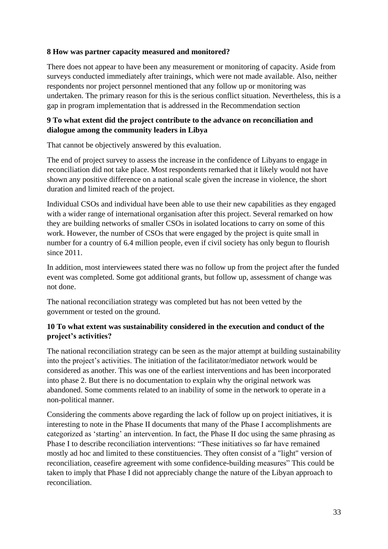#### **8 How was partner capacity measured and monitored?**

There does not appear to have been any measurement or monitoring of capacity. Aside from surveys conducted immediately after trainings, which were not made available. Also, neither respondents nor project personnel mentioned that any follow up or monitoring was undertaken. The primary reason for this is the serious conflict situation. Nevertheless, this is a gap in program implementation that is addressed in the Recommendation section

#### **9 To what extent did the project contribute to the advance on reconciliation and dialogue among the community leaders in Libya**

That cannot be objectively answered by this evaluation.

The end of project survey to assess the increase in the confidence of Libyans to engage in reconciliation did not take place. Most respondents remarked that it likely would not have shown any positive difference on a national scale given the increase in violence, the short duration and limited reach of the project.

Individual CSOs and individual have been able to use their new capabilities as they engaged with a wider range of international organisation after this project. Several remarked on how they are building networks of smaller CSOs in isolated locations to carry on some of this work. However, the number of CSOs that were engaged by the project is quite small in number for a country of 6.4 million people, even if civil society has only begun to flourish since 2011.

In addition, most interviewees stated there was no follow up from the project after the funded event was completed. Some got additional grants, but follow up, assessment of change was not done.

The national reconciliation strategy was completed but has not been vetted by the government or tested on the ground.

# **10 To what extent was sustainability considered in the execution and conduct of the project's activities?**

The national reconciliation strategy can be seen as the major attempt at building sustainability into the project's activities. The initiation of the facilitator/mediator network would be considered as another. This was one of the earliest interventions and has been incorporated into phase 2. But there is no documentation to explain why the original network was abandoned. Some comments related to an inability of some in the network to operate in a non-political manner.

Considering the comments above regarding the lack of follow up on project initiatives, it is interesting to note in the Phase II documents that many of the Phase I accomplishments are categorized as 'starting' an intervention. In fact, the Phase II doc using the same phrasing as Phase I to describe reconciliation interventions: "These initiatives so far have remained mostly ad hoc and limited to these constituencies. They often consist of a "light" version of reconciliation, ceasefire agreement with some confidence-building measures" This could be taken to imply that Phase I did not appreciably change the nature of the Libyan approach to reconciliation.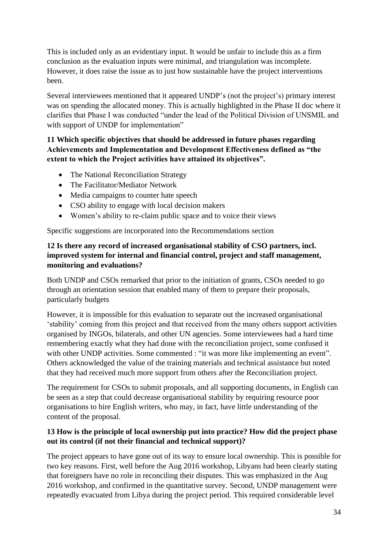This is included only as an evidentiary input. It would be unfair to include this as a firm conclusion as the evaluation inputs were minimal, and triangulation was incomplete. However, it does raise the issue as to just how sustainable have the project interventions been.

Several interviewees mentioned that it appeared UNDP's (not the project's) primary interest was on spending the allocated money. This is actually highlighted in the Phase II doc where it clarifies that Phase I was conducted "under the lead of the Political Division of UNSMIL and with support of UNDP for implementation"

# **11 Which specific objectives that should be addressed in future phases regarding Achievements and Implementation and Development Effectiveness defined as "the extent to which the Project activities have attained its objectives".**

- The National Reconciliation Strategy
- The Facilitator/Mediator Network
- Media campaigns to counter hate speech
- CSO ability to engage with local decision makers
- Women's ability to re-claim public space and to voice their views

Specific suggestions are incorporated into the Recommendations section

#### **12 Is there any record of increased organisational stability of CSO partners, incl. improved system for internal and financial control, project and staff management, monitoring and evaluations?**

Both UNDP and CSOs remarked that prior to the initiation of grants, CSOs needed to go through an orientation session that enabled many of them to prepare their proposals, particularly budgets

However, it is impossible for this evaluation to separate out the increased organisational 'stability' coming from this project and that received from the many others support activities organised by INGOs, bilaterals, and other UN agencies. Some interviewees had a hard time remembering exactly what they had done with the reconciliation project, some confused it with other UNDP activities. Some commented : "it was more like implementing an event". Others acknowledged the value of the training materials and technical assistance but noted that they had received much more support from others after the Reconciliation project.

The requirement for CSOs to submit proposals, and all supporting documents, in English can be seen as a step that could decrease organisational stability by requiring resource poor organisations to hire English writers, who may, in fact, have little understanding of the content of the proposal.

#### **13 How is the principle of local ownership put into practice? How did the project phase out its control (if not their financial and technical support)?**

The project appears to have gone out of its way to ensure local ownership. This is possible for two key reasons. First, well before the Aug 2016 workshop, Libyans had been clearly stating that foreigners have no role in reconciling their disputes. This was emphasized in the Aug 2016 workshop, and confirmed in the quantitative survey. Second, UNDP management were repeatedly evacuated from Libya during the project period. This required considerable level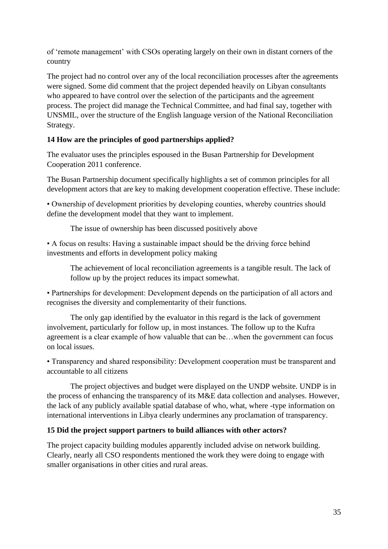of 'remote management' with CSOs operating largely on their own in distant corners of the country

The project had no control over any of the local reconciliation processes after the agreements were signed. Some did comment that the project depended heavily on Libyan consultants who appeared to have control over the selection of the participants and the agreement process. The project did manage the Technical Committee, and had final say, together with UNSMIL, over the structure of the English language version of the National Reconciliation Strategy.

# **14 How are the principles of good partnerships applied?**

The evaluator uses the principles espoused in the Busan Partnership for Development Cooperation 2011 conference.

The Busan Partnership document specifically highlights a set of common principles for all development actors that are key to making development cooperation effective. These include:

• Ownership of development priorities by developing counties, whereby countries should define the development model that they want to implement.

The issue of ownership has been discussed positively above

• A focus on results: Having a sustainable impact should be the driving force behind investments and efforts in development policy making

The achievement of local reconciliation agreements is a tangible result. The lack of follow up by the project reduces its impact somewhat.

• Partnerships for development: Development depends on the participation of all actors and recognises the diversity and complementarity of their functions.

The only gap identified by the evaluator in this regard is the lack of government involvement, particularly for follow up, in most instances. The follow up to the Kufra agreement is a clear example of how valuable that can be…when the government can focus on local issues.

• Transparency and shared responsibility: Development cooperation must be transparent and accountable to all citizens

The project objectives and budget were displayed on the UNDP website. UNDP is in the process of enhancing the transparency of its M&E data collection and analyses. However, the lack of any publicly available spatial database of who, what, where -type information on international interventions in Libya clearly undermines any proclamation of transparency.

# **15 Did the project support partners to build alliances with other actors?**

The project capacity building modules apparently included advise on network building. Clearly, nearly all CSO respondents mentioned the work they were doing to engage with smaller organisations in other cities and rural areas.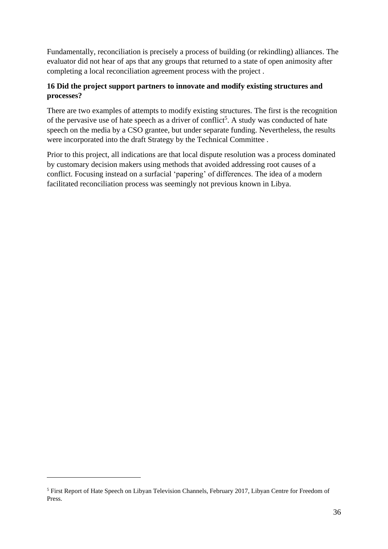Fundamentally, reconciliation is precisely a process of building (or rekindling) alliances. The evaluator did not hear of aps that any groups that returned to a state of open animosity after completing a local reconciliation agreement process with the project .

#### **16 Did the project support partners to innovate and modify existing structures and processes?**

There are two examples of attempts to modify existing structures. The first is the recognition of the pervasive use of hate speech as a driver of conflict<sup>5</sup>. A study was conducted of hate speech on the media by a CSO grantee, but under separate funding. Nevertheless, the results were incorporated into the draft Strategy by the Technical Committee .

Prior to this project, all indications are that local dispute resolution was a process dominated by customary decision makers using methods that avoided addressing root causes of a conflict. Focusing instead on a surfacial 'papering' of differences. The idea of a modern facilitated reconciliation process was seemingly not previous known in Libya.

<sup>5</sup> First Report of Hate Speech on Libyan Television Channels, February 2017, Libyan Centre for Freedom of Press.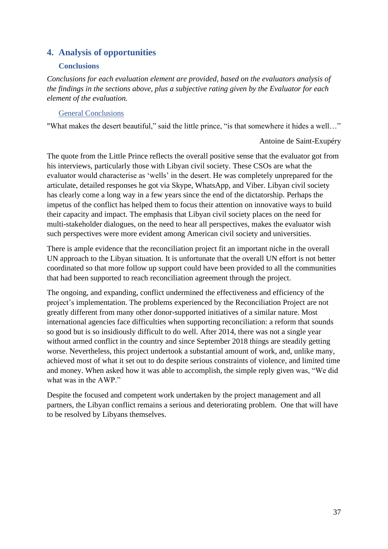# <span id="page-36-0"></span>**4. Analysis of opportunities**

#### **Conclusions**

<span id="page-36-1"></span>*Conclusions for each evaluation element are provided, based on the evaluators analysis of the findings in the sections above, plus a subjective rating given by the Evaluator for each element of the evaluation.*

#### General Conclusions

"What makes the desert beautiful," said the little prince, "is that somewhere it hides a well…"

Antoine de Saint-Exupéry

The quote from the Little Prince reflects the overall positive sense that the evaluator got from his interviews, particularly those with Libyan civil society. These CSOs are what the evaluator would characterise as 'wells' in the desert. He was completely unprepared for the articulate, detailed responses he got via Skype, WhatsApp, and Viber. Libyan civil society has clearly come a long way in a few years since the end of the dictatorship. Perhaps the impetus of the conflict has helped them to focus their attention on innovative ways to build their capacity and impact. The emphasis that Libyan civil society places on the need for multi-stakeholder dialogues, on the need to hear all perspectives, makes the evaluator wish such perspectives were more evident among American civil society and universities.

There is ample evidence that the reconciliation project fit an important niche in the overall UN approach to the Libyan situation. It is unfortunate that the overall UN effort is not better coordinated so that more follow up support could have been provided to all the communities that had been supported to reach reconciliation agreement through the project.

The ongoing, and expanding, conflict undermined the effectiveness and efficiency of the project's implementation. The problems experienced by the Reconciliation Project are not greatly different from many other donor-supported initiatives of a similar nature. Most international agencies face difficulties when supporting reconciliation: a reform that sounds so good but is so insidiously difficult to do well. After 2014, there was not a single year without armed conflict in the country and since September 2018 things are steadily getting worse. Nevertheless, this project undertook a substantial amount of work, and, unlike many, achieved most of what it set out to do despite serious constraints of violence, and limited time and money. When asked how it was able to accomplish, the simple reply given was, "We did what was in the AWP."

Despite the focused and competent work undertaken by the project management and all partners, the Libyan conflict remains a serious and deteriorating problem. One that will have to be resolved by Libyans themselves.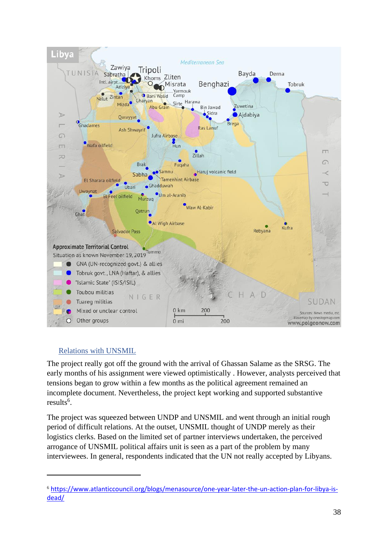

# Relations with UNSMIL

The project really got off the ground with the arrival of Ghassan Salame as the SRSG. The early months of his assignment were viewed optimistically . However, analysts perceived that tensions began to grow within a few months as the political agreement remained an incomplete document. Nevertheless, the project kept working and supported substantive results<sup>6</sup>.

The project was squeezed between UNDP and UNSMIL and went through an initial rough period of difficult relations. At the outset, UNSMIL thought of UNDP merely as their logistics clerks. Based on the limited set of partner interviews undertaken, the perceived arrogance of UNSMIL political affairs unit is seen as a part of the problem by many interviewees. In general, respondents indicated that the UN not really accepted by Libyans.

<sup>6</sup> [https://www.atlanticcouncil.org/blogs/menasource/one-year-later-the-un-action-plan-for-libya-is](https://www.atlanticcouncil.org/blogs/menasource/one-year-later-the-un-action-plan-for-libya-is-dead/)[dead/](https://www.atlanticcouncil.org/blogs/menasource/one-year-later-the-un-action-plan-for-libya-is-dead/)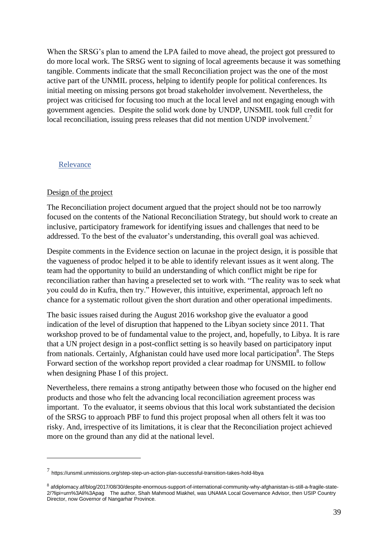When the SRSG's plan to amend the LPA failed to move ahead, the project got pressured to do more local work. The SRSG went to signing of local agreements because it was something tangible. Comments indicate that the small Reconciliation project was the one of the most active part of the UNMIL process, helping to identify people for political conferences. Its initial meeting on missing persons got broad stakeholder involvement. Nevertheless, the project was criticised for focusing too much at the local level and not engaging enough with government agencies. Despite the solid work done by UNDP, UNSMIL took full credit for local reconciliation, issuing press releases that did not mention UNDP involvement.<sup>7</sup>

#### Relevance

#### Design of the project

The Reconciliation project document argued that the project should not be too narrowly focused on the contents of the National Reconciliation Strategy, but should work to create an inclusive, participatory framework for identifying issues and challenges that need to be addressed. To the best of the evaluator's understanding, this overall goal was achieved.

Despite comments in the Evidence section on lacunae in the project design, it is possible that the vagueness of prodoc helped it to be able to identify relevant issues as it went along. The team had the opportunity to build an understanding of which conflict might be ripe for reconciliation rather than having a preselected set to work with. "The reality was to seek what you could do in Kufra, then try." However, this intuitive, experimental, approach left no chance for a systematic rollout given the short duration and other operational impediments.

The basic issues raised during the August 2016 workshop give the evaluator a good indication of the level of disruption that happened to the Libyan society since 2011. That workshop proved to be of fundamental value to the project, and, hopefully, to Libya. It is rare that a UN project design in a post-conflict setting is so heavily based on participatory input from nationals. Certainly, Afghanistan could have used more local participation<sup>8</sup>. The Steps Forward section of the workshop report provided a clear roadmap for UNSMIL to follow when designing Phase I of this project.

Nevertheless, there remains a strong antipathy between those who focused on the higher end products and those who felt the advancing local reconciliation agreement process was important. To the evaluator, it seems obvious that this local work substantiated the decision of the SRSG to approach PBF to fund this project proposal when all others felt it was too risky. And, irrespective of its limitations, it is clear that the Reconciliation project achieved more on the ground than any did at the national level.

 $^7$  https://unsmil.unmissions.org/step-step-un-action-plan-successful-transition-takes-hold-libya

<sup>8</sup> afdiplomacy.af/blog/2017/08/30/despite-enormous-support-of-international-community-why-afghanistan-is-still-a-fragile-state-2/?lipi=urn%3Ali%3Apag The author, Shah Mahmood Miakhel, was UNAMA Local Governance Advisor, then USIP Country Director, now Governor of Nangarhar Province.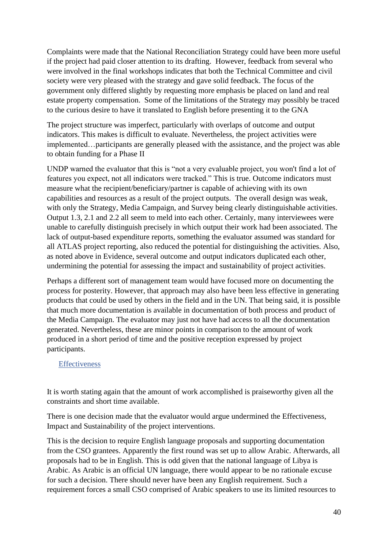Complaints were made that the National Reconciliation Strategy could have been more useful if the project had paid closer attention to its drafting. However, feedback from several who were involved in the final workshops indicates that both the Technical Committee and civil society were very pleased with the strategy and gave solid feedback. The focus of the government only differed slightly by requesting more emphasis be placed on land and real estate property compensation. Some of the limitations of the Strategy may possibly be traced to the curious desire to have it translated to English before presenting it to the GNA

The project structure was imperfect, particularly with overlaps of outcome and output indicators. This makes is difficult to evaluate. Nevertheless, the project activities were implemented…participants are generally pleased with the assistance, and the project was able to obtain funding for a Phase II

UNDP warned the evaluator that this is "not a very evaluable project, you won't find a lot of features you expect, not all indicators were tracked." This is true. Outcome indicators must measure what the recipient/beneficiary/partner is capable of achieving with its own capabilities and resources as a result of the project outputs. The overall design was weak, with only the Strategy, Media Campaign, and Survey being clearly distinguishable activities. Output 1.3, 2.1 and 2.2 all seem to meld into each other. Certainly, many interviewees were unable to carefully distinguish precisely in which output their work had been associated. The lack of output-based expenditure reports, something the evaluator assumed was standard for all ATLAS project reporting, also reduced the potential for distinguishing the activities. Also, as noted above in Evidence, several outcome and output indicators duplicated each other, undermining the potential for assessing the impact and sustainability of project activities.

Perhaps a different sort of management team would have focused more on documenting the process for posterity. However, that approach may also have been less effective in generating products that could be used by others in the field and in the UN. That being said, it is possible that much more documentation is available in documentation of both process and product of the Media Campaign. The evaluator may just not have had access to all the documentation generated. Nevertheless, these are minor points in comparison to the amount of work produced in a short period of time and the positive reception expressed by project participants.

#### **Effectiveness**

It is worth stating again that the amount of work accomplished is praiseworthy given all the constraints and short time available.

There is one decision made that the evaluator would argue undermined the Effectiveness, Impact and Sustainability of the project interventions.

This is the decision to require English language proposals and supporting documentation from the CSO grantees. Apparently the first round was set up to allow Arabic. Afterwards, all proposals had to be in English. This is odd given that the national language of Libya is Arabic. As Arabic is an official UN language, there would appear to be no rationale excuse for such a decision. There should never have been any English requirement. Such a requirement forces a small CSO comprised of Arabic speakers to use its limited resources to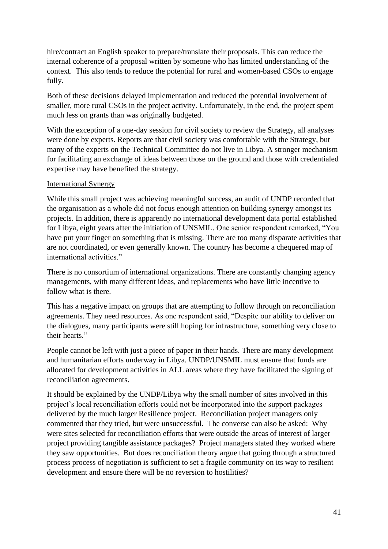hire/contract an English speaker to prepare/translate their proposals. This can reduce the internal coherence of a proposal written by someone who has limited understanding of the context. This also tends to reduce the potential for rural and women-based CSOs to engage fully.

Both of these decisions delayed implementation and reduced the potential involvement of smaller, more rural CSOs in the project activity. Unfortunately, in the end, the project spent much less on grants than was originally budgeted.

With the exception of a one-day session for civil society to review the Strategy, all analyses were done by experts. Reports are that civil society was comfortable with the Strategy, but many of the experts on the Technical Committee do not live in Libya. A stronger mechanism for facilitating an exchange of ideas between those on the ground and those with credentialed expertise may have benefited the strategy.

#### International Synergy

While this small project was achieving meaningful success, an audit of UNDP recorded that the organisation as a whole did not focus enough attention on building synergy amongst its projects. In addition, there is apparently no international development data portal established for Libya, eight years after the initiation of UNSMIL. One senior respondent remarked, "You have put your finger on something that is missing. There are too many disparate activities that are not coordinated, or even generally known. The country has become a chequered map of international activities."

There is no consortium of international organizations. There are constantly changing agency managements, with many different ideas, and replacements who have little incentive to follow what is there.

This has a negative impact on groups that are attempting to follow through on reconciliation agreements. They need resources. As one respondent said, "Despite our ability to deliver on the dialogues, many participants were still hoping for infrastructure, something very close to their hearts."

People cannot be left with just a piece of paper in their hands. There are many development and humanitarian efforts underway in Libya. UNDP/UNSMIL must ensure that funds are allocated for development activities in ALL areas where they have facilitated the signing of reconciliation agreements.

It should be explained by the UNDP/Libya why the small number of sites involved in this project's local reconciliation efforts could not be incorporated into the support packages delivered by the much larger Resilience project. Reconciliation project managers only commented that they tried, but were unsuccessful. The converse can also be asked: Why were sites selected for reconciliation efforts that were outside the areas of interest of larger project providing tangible assistance packages? Project managers stated they worked where they saw opportunities. But does reconciliation theory argue that going through a structured process process of negotiation is sufficient to set a fragile community on its way to resilient development and ensure there will be no reversion to hostilities?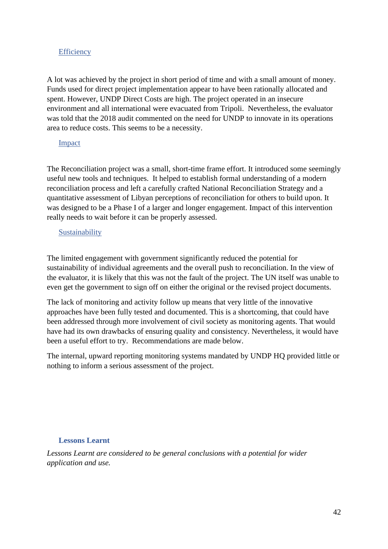#### **Efficiency**

A lot was achieved by the project in short period of time and with a small amount of money. Funds used for direct project implementation appear to have been rationally allocated and spent. However, UNDP Direct Costs are high. The project operated in an insecure environment and all international were evacuated from Tripoli. Nevertheless, the evaluator was told that the 2018 audit commented on the need for UNDP to innovate in its operations area to reduce costs. This seems to be a necessity.

#### Impact

The Reconciliation project was a small, short-time frame effort. It introduced some seemingly useful new tools and techniques. It helped to establish formal understanding of a modern reconciliation process and left a carefully crafted National Reconciliation Strategy and a quantitative assessment of Libyan perceptions of reconciliation for others to build upon. It was designed to be a Phase I of a larger and longer engagement. Impact of this intervention really needs to wait before it can be properly assessed.

#### Sustainability

The limited engagement with government significantly reduced the potential for sustainability of individual agreements and the overall push to reconciliation. In the view of the evaluator, it is likely that this was not the fault of the project. The UN itself was unable to even get the government to sign off on either the original or the revised project documents.

The lack of monitoring and activity follow up means that very little of the innovative approaches have been fully tested and documented. This is a shortcoming, that could have been addressed through more involvement of civil society as monitoring agents. That would have had its own drawbacks of ensuring quality and consistency. Nevertheless, it would have been a useful effort to try. Recommendations are made below.

The internal, upward reporting monitoring systems mandated by UNDP HQ provided little or nothing to inform a serious assessment of the project.

#### <span id="page-41-0"></span>**Lessons Learnt**

*Lessons Learnt are considered to be general conclusions with a potential for wider application and use.*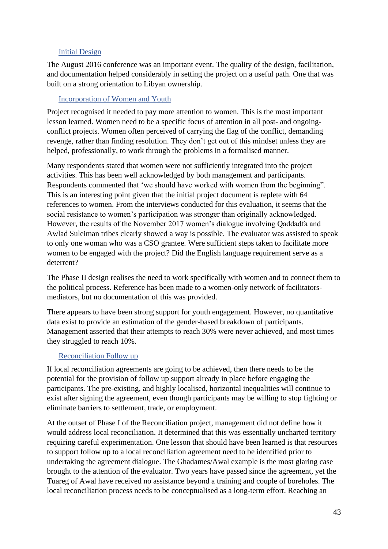#### Initial Design

The August 2016 conference was an important event. The quality of the design, facilitation, and documentation helped considerably in setting the project on a useful path. One that was built on a strong orientation to Libyan ownership.

#### Incorporation of Women and Youth

Project recognised it needed to pay more attention to women. This is the most important lesson learned. Women need to be a specific focus of attention in all post- and ongoingconflict projects. Women often perceived of carrying the flag of the conflict, demanding revenge, rather than finding resolution. They don't get out of this mindset unless they are helped, professionally, to work through the problems in a formalised manner.

Many respondents stated that women were not sufficiently integrated into the project activities. This has been well acknowledged by both management and participants. Respondents commented that 'we should have worked with women from the beginning". This is an interesting point given that the initial project document is replete with 64 references to women. From the interviews conducted for this evaluation, it seems that the social resistance to women's participation was stronger than originally acknowledged. However, the results of the November 2017 women's dialogue involving Qaddadfa and Awlad Suleiman tribes clearly showed a way is possible. The evaluator was assisted to speak to only one woman who was a CSO grantee. Were sufficient steps taken to facilitate more women to be engaged with the project? Did the English language requirement serve as a deterrent?

The Phase II design realises the need to work specifically with women and to connect them to the political process. Reference has been made to a women-only network of facilitatorsmediators, but no documentation of this was provided.

There appears to have been strong support for youth engagement. However, no quantitative data exist to provide an estimation of the gender-based breakdown of participants. Management asserted that their attempts to reach 30% were never achieved, and most times they struggled to reach 10%.

#### Reconciliation Follow up

If local reconciliation agreements are going to be achieved, then there needs to be the potential for the provision of follow up support already in place before engaging the participants. The pre-existing, and highly localised, horizontal inequalities will continue to exist after signing the agreement, even though participants may be willing to stop fighting or eliminate barriers to settlement, trade, or employment.

At the outset of Phase I of the Reconciliation project, management did not define how it would address local reconciliation. It determined that this was essentially uncharted territory requiring careful experimentation. One lesson that should have been learned is that resources to support follow up to a local reconciliation agreement need to be identified prior to undertaking the agreement dialogue. The Ghadames/Awal example is the most glaring case brought to the attention of the evaluator. Two years have passed since the agreement, yet the Tuareg of Awal have received no assistance beyond a training and couple of boreholes. The local reconciliation process needs to be conceptualised as a long-term effort. Reaching an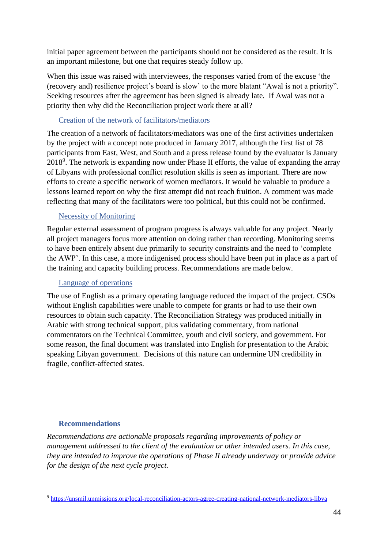initial paper agreement between the participants should not be considered as the result. It is an important milestone, but one that requires steady follow up.

When this issue was raised with interviewees, the responses varied from of the excuse 'the (recovery and) resilience project's board is slow' to the more blatant "Awal is not a priority". Seeking resources after the agreement has been signed is already late. If Awal was not a priority then why did the Reconciliation project work there at all?

#### Creation of the network of facilitators/mediators

The creation of a network of facilitators/mediators was one of the first activities undertaken by the project with a concept note produced in January 2017, although the first list of 78 participants from East, West, and South and a press release found by the evaluator is January 2018<sup>9</sup>. The network is expanding now under Phase II efforts, the value of expanding the array of Libyans with professional conflict resolution skills is seen as important. There are now efforts to create a specific network of women mediators. It would be valuable to produce a lessons learned report on why the first attempt did not reach fruition. A comment was made reflecting that many of the facilitators were too political, but this could not be confirmed.

#### Necessity of Monitoring

Regular external assessment of program progress is always valuable for any project. Nearly all project managers focus more attention on doing rather than recording. Monitoring seems to have been entirely absent due primarily to security constraints and the need to 'complete the AWP'. In this case, a more indigenised process should have been put in place as a part of the training and capacity building process. Recommendations are made below.

#### Language of operations

The use of English as a primary operating language reduced the impact of the project. CSOs without English capabilities were unable to compete for grants or had to use their own resources to obtain such capacity. The Reconciliation Strategy was produced initially in Arabic with strong technical support, plus validating commentary, from national commentators on the Technical Committee, youth and civil society, and government. For some reason, the final document was translated into English for presentation to the Arabic speaking Libyan government. Decisions of this nature can undermine UN credibility in fragile, conflict-affected states.

#### <span id="page-43-0"></span>**Recommendations**

*Recommendations are actionable proposals regarding improvements of policy or management addressed to the client of the evaluation or other intended users. In this case, they are intended to improve the operations of Phase II already underway or provide advice for the design of the next cycle project.*

<sup>9</sup> <https://unsmil.unmissions.org/local-reconciliation-actors-agree-creating-national-network-mediators-libya>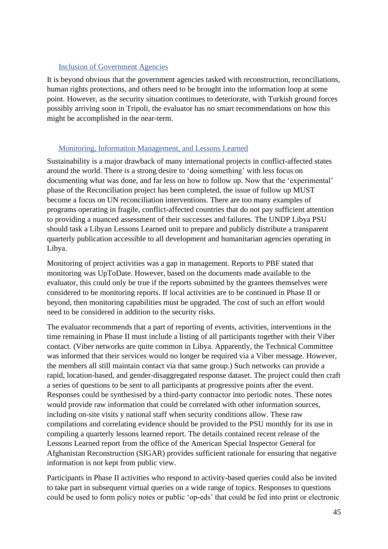#### Inclusion of Government Agencies

It is beyond obvious that the government agencies tasked with reconstruction, reconciliations, human rights protections, and others need to be brought into the information loop at some point. However, as the security situation continues to deteriorate, with Turkish ground forces possibly arriving soon in Tripoli, the evaluator has no smart recommendations on how this might be accomplished in the near-term.

#### Monitoring, Information Management, and Lessons Learned

Sustainability is a major drawback of many international projects in conflict-affected states around the world. There is a strong desire to 'doing something' with less focus on documenting what was done, and far less on how to follow up. Now that the 'experimental' phase of the Reconciliation project has been completed, the issue of follow up MUST become a focus on UN reconciliation interventions. There are too many examples of programs operating in fragile, conflict-affected countries that do not pay sufficient attention to providing a nuanced assessment of their successes and failures. The UNDP Libya PSU should task a Libyan Lessons Learned unit to prepare and publicly distribute a transparent quarterly publication accessible to all development and humanitarian agencies operating in Libya.

Monitoring of project activities was a gap in management. Reports to PBF stated that monitoring was UpToDate. However, based on the documents made available to the evaluator, this could only be true if the reports submitted by the grantees themselves were considered to be monitoring reports. If local activities are to be continued in Phase II or beyond, then monitoring capabilities must be upgraded. The cost of such an effort would need to be considered in addition to the security risks.

The evaluator recommends that a part of reporting of events, activities, interventions in the time remaining in Phase II must include a listing of all participants together with their Viber contact. (Viber networks are quite common in Libya. Apparently, the Technical Committee was informed that their services would no longer be required via a Viber message. However, the members all still maintain contact via that same group.) Such networks can provide a rapid, location-based, and gender-disaggregated response dataset. The project could then craft a series of questions to be sent to all participants at progressive points after the event. Responses could be synthesised by a third-party contractor into periodic notes. These notes would provide raw information that could be correlated with other information sources, including on-site visits y national staff when security conditions allow. These raw compilations and correlating evidence should be provided to the PSU monthly for its use in compiling a quarterly lessons learned report. The details contained recent release of the Lessons Learned report from the office of the American Special Inspector General for Afghanistan Reconstruction (SIGAR) provides sufficient rationale for ensuring that negative information is not kept from public view.

Participants in Phase II activities who respond to activity-based queries could also be invited to take part in subsequent virtual queries on a wide range of topics. Responses to questions could be used to form policy notes or public 'op-eds' that could be fed into print or electronic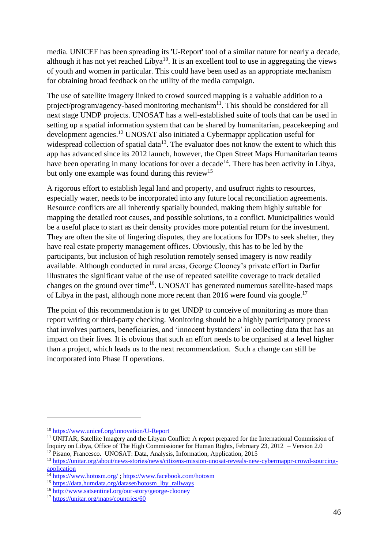media. UNICEF has been spreading its 'U-Report' tool of a similar nature for nearly a decade, although it has not yet reached Libya<sup>10</sup>. It is an excellent tool to use in aggregating the views of youth and women in particular. This could have been used as an appropriate mechanism for obtaining broad feedback on the utility of the media campaign.

The use of satellite imagery linked to crowd sourced mapping is a valuable addition to a project/program/agency-based monitoring mechanism<sup>11</sup>. This should be considered for all next stage UNDP projects. UNOSAT has a well-established suite of tools that can be used in setting up a spatial information system that can be shared by humanitarian, peacekeeping and development agencies.<sup>12</sup> UNOSAT also initiated a Cybermappr application useful for widespread collection of spatial data $13$ . The evaluator does not know the extent to which this app has advanced since its 2012 launch, however, the Open Street Maps Humanitarian teams have been operating in many locations for over a decade<sup>14</sup>. There has been activity in Libya, but only one example was found during this review<sup>15</sup>

A rigorous effort to establish legal land and property, and usufruct rights to resources, especially water, needs to be incorporated into any future local reconciliation agreements. Resource conflicts are all inherently spatially bounded, making them highly suitable for mapping the detailed root causes, and possible solutions, to a conflict. Municipalities would be a useful place to start as their density provides more potential return for the investment. They are often the site of lingering disputes, they are locations for IDPs to seek shelter, they have real estate property management offices. Obviously, this has to be led by the participants, but inclusion of high resolution remotely sensed imagery is now readily available. Although conducted in rural areas, George Clooney's private effort in Darfur illustrates the significant value of the use of repeated satellite coverage to track detailed changes on the ground over time<sup>16</sup>. UNOSAT has generated numerous satellite-based maps of Libya in the past, although none more recent than 2016 were found via google.<sup>17</sup>

The point of this recommendation is to get UNDP to conceive of monitoring as more than report writing or third-party checking. Monitoring should be a highly participatory process that involves partners, beneficiaries, and 'innocent bystanders' in collecting data that has an impact on their lives. It is obvious that such an effort needs to be organised at a level higher than a project, which leads us to the next recommendation. Such a change can still be incorporated into Phase II operations.

<sup>10</sup> <https://www.unicef.org/innovation/U-Report>

<sup>&</sup>lt;sup>11</sup> UNITAR, Satellite Imagery and the Libyan Conflict: A report prepared for the International Commission of Inquiry on Libya, Office of The High Commissioner for Human Rights, February 23, 2012 – Version 2.0 <sup>12</sup> Pisano, Francesco. UNOSAT: Data, Analysis, Information, Application, 2015

<sup>13</sup> [https://unitar.org/about/news-stories/news/citizens-mission-unosat-reveals-new-cybermappr-crowd-sourcing](https://unitar.org/about/news-stories/news/citizens-mission-unosat-reveals-new-cybermappr-crowd-sourcing-application)[application](https://unitar.org/about/news-stories/news/citizens-mission-unosat-reveals-new-cybermappr-crowd-sourcing-application)

<sup>&</sup>lt;sup>14</sup> <https://www.hotosm.org/>;<https://www.facebook.com/hotosm>

<sup>15</sup> [https://data.humdata.org/dataset/hotosm\\_lby\\_railways](https://data.humdata.org/dataset/hotosm_lby_railways)

<sup>16</sup> <http://www.satsentinel.org/our-story/george-clooney>

<sup>17</sup> <https://unitar.org/maps/countries/60>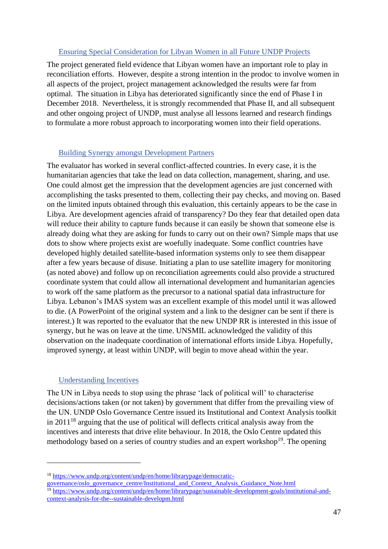#### Ensuring Special Consideration for Libyan Women in all Future UNDP Projects

The project generated field evidence that Libyan women have an important role to play in reconciliation efforts. However, despite a strong intention in the prodoc to involve women in all aspects of the project, project management acknowledged the results were far from optimal. The situation in Libya has deteriorated significantly since the end of Phase I in December 2018. Nevertheless, it is strongly recommended that Phase II, and all subsequent and other ongoing project of UNDP, must analyse all lessons learned and research findings to formulate a more robust approach to incorporating women into their field operations.

#### Building Synergy amongst Development Partners

The evaluator has worked in several conflict-affected countries. In every case, it is the humanitarian agencies that take the lead on data collection, management, sharing, and use. One could almost get the impression that the development agencies are just concerned with accomplishing the tasks presented to them, collecting their pay checks, and moving on. Based on the limited inputs obtained through this evaluation, this certainly appears to be the case in Libya. Are development agencies afraid of transparency? Do they fear that detailed open data will reduce their ability to capture funds because it can easily be shown that someone else is already doing what they are asking for funds to carry out on their own? Simple maps that use dots to show where projects exist are woefully inadequate. Some conflict countries have developed highly detailed satellite-based information systems only to see them disappear after a few years because of disuse. Initiating a plan to use satellite imagery for monitoring (as noted above) and follow up on reconciliation agreements could also provide a structured coordinate system that could allow all international development and humanitarian agencies to work off the same platform as the precursor to a national spatial data infrastructure for Libya. Lebanon's IMAS system was an excellent example of this model until it was allowed to die. (A PowerPoint of the original system and a link to the designer can be sent if there is interest.) It was reported to the evaluator that the new UNDP RR is interested in this issue of synergy, but he was on leave at the time. UNSMIL acknowledged the validity of this observation on the inadequate coordination of international efforts inside Libya. Hopefully, improved synergy, at least within UNDP, will begin to move ahead within the year.

#### Understanding Incentives

The UN in Libya needs to stop using the phrase 'lack of political will' to characterise decisions/actions taken (or not taken) by government that differ from the prevailing view of the UN. UNDP Oslo Governance Centre issued its Institutional and Context Analysis toolkit in  $2011^{18}$  arguing that the use of political will deflects critical analysis away from the incentives and interests that drive elite behaviour. In 2018, the Oslo Centre updated this methodology based on a series of country studies and an expert workshop<sup>19</sup>. The opening

<sup>18</sup> [https://www.undp.org/content/undp/en/home/librarypage/democratic-](https://www.undp.org/content/undp/en/home/librarypage/democratic-governance/oslo_governance_centre/Institutional_and_Context_Analysis_Guidance_Note.html)

[governance/oslo\\_governance\\_centre/Institutional\\_and\\_Context\\_Analysis\\_Guidance\\_Note.html](https://www.undp.org/content/undp/en/home/librarypage/democratic-governance/oslo_governance_centre/Institutional_and_Context_Analysis_Guidance_Note.html) <sup>19</sup> [https://www.undp.org/content/undp/en/home/librarypage/sustainable-development-goals/institutional-and](https://www.undp.org/content/undp/en/home/librarypage/sustainable-development-goals/institutional-and-context-analysis-for-the--sustainable-developm.html)[context-analysis-for-the--sustainable-developm.html](https://www.undp.org/content/undp/en/home/librarypage/sustainable-development-goals/institutional-and-context-analysis-for-the--sustainable-developm.html)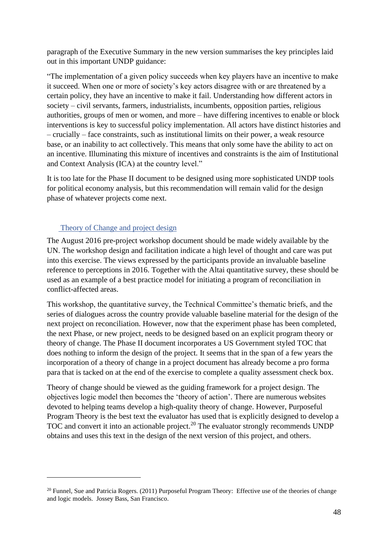paragraph of the Executive Summary in the new version summarises the key principles laid out in this important UNDP guidance:

"The implementation of a given policy succeeds when key players have an incentive to make it succeed. When one or more of society's key actors disagree with or are threatened by a certain policy, they have an incentive to make it fail. Understanding how different actors in society – civil servants, farmers, industrialists, incumbents, opposition parties, religious authorities, groups of men or women, and more – have differing incentives to enable or block interventions is key to successful policy implementation. All actors have distinct histories and – crucially – face constraints, such as institutional limits on their power, a weak resource base, or an inability to act collectively. This means that only some have the ability to act on an incentive. Illuminating this mixture of incentives and constraints is the aim of Institutional and Context Analysis (ICA) at the country level."

It is too late for the Phase II document to be designed using more sophisticated UNDP tools for political economy analysis, but this recommendation will remain valid for the design phase of whatever projects come next.

#### Theory of Change and project design

The August 2016 pre-project workshop document should be made widely available by the UN. The workshop design and facilitation indicate a high level of thought and care was put into this exercise. The views expressed by the participants provide an invaluable baseline reference to perceptions in 2016. Together with the Altai quantitative survey, these should be used as an example of a best practice model for initiating a program of reconciliation in conflict-affected areas.

This workshop, the quantitative survey, the Technical Committee's thematic briefs, and the series of dialogues across the country provide valuable baseline material for the design of the next project on reconciliation. However, now that the experiment phase has been completed, the next Phase, or new project, needs to be designed based on an explicit program theory or theory of change. The Phase II document incorporates a US Government styled TOC that does nothing to inform the design of the project. It seems that in the span of a few years the incorporation of a theory of change in a project document has already become a pro forma para that is tacked on at the end of the exercise to complete a quality assessment check box.

Theory of change should be viewed as the guiding framework for a project design. The objectives logic model then becomes the 'theory of action'. There are numerous websites devoted to helping teams develop a high-quality theory of change. However, Purposeful Program Theory is the best text the evaluator has used that is explicitly designed to develop a TOC and convert it into an actionable project.<sup>20</sup> The evaluator strongly recommends UNDP obtains and uses this text in the design of the next version of this project, and others.

<sup>&</sup>lt;sup>20</sup> Funnel, Sue and Patricia Rogers. (2011) Purposeful Program Theory: Effective use of the theories of change and logic models. Jossey Bass, San Francisco.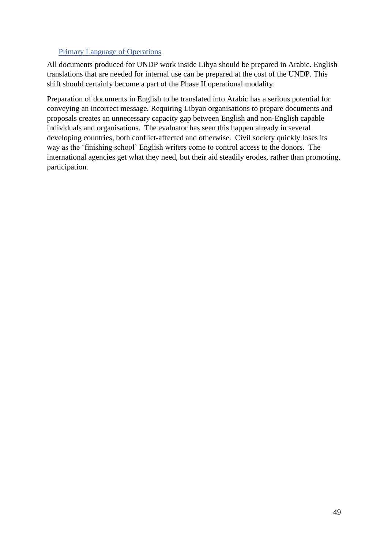#### Primary Language of Operations

All documents produced for UNDP work inside Libya should be prepared in Arabic. English translations that are needed for internal use can be prepared at the cost of the UNDP. This shift should certainly become a part of the Phase II operational modality.

Preparation of documents in English to be translated into Arabic has a serious potential for conveying an incorrect message. Requiring Libyan organisations to prepare documents and proposals creates an unnecessary capacity gap between English and non-English capable individuals and organisations. The evaluator has seen this happen already in several developing countries, both conflict-affected and otherwise. Civil society quickly loses its way as the 'finishing school' English writers come to control access to the donors. The international agencies get what they need, but their aid steadily erodes, rather than promoting, participation.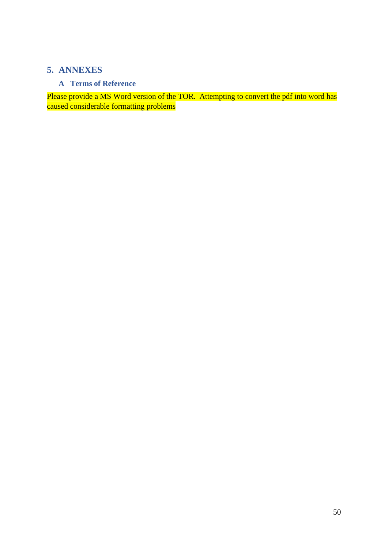# <span id="page-49-0"></span>**5. ANNEXES**

#### **A Terms of Reference**

<span id="page-49-1"></span>Please provide a MS Word version of the TOR. Attempting to convert the pdf into word has caused considerable formatting problems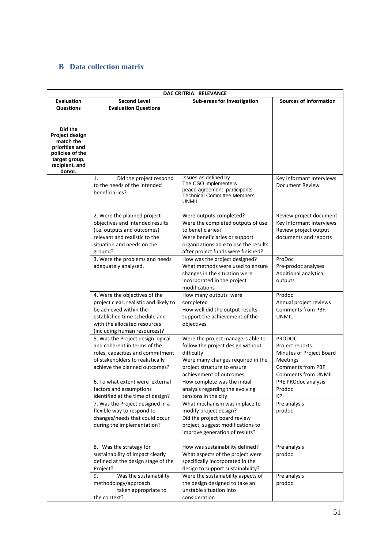# <span id="page-50-0"></span>**B Data collection matrix**

| <b>DAC CRITRIA: RELEVANCE</b>                                                                                            |                                                                                                                                                                                                    |                                                                                                                                                                                                   |                                                                                                                                           |
|--------------------------------------------------------------------------------------------------------------------------|----------------------------------------------------------------------------------------------------------------------------------------------------------------------------------------------------|---------------------------------------------------------------------------------------------------------------------------------------------------------------------------------------------------|-------------------------------------------------------------------------------------------------------------------------------------------|
| Evaluation<br><b>Questions</b>                                                                                           | <b>Second Level</b><br><b>Evaluation Questions</b>                                                                                                                                                 | Sub-areas for Investigation                                                                                                                                                                       | <b>Sources of Information</b>                                                                                                             |
| Did the<br>Project design<br>match the<br>priorities and<br>policies of the<br>target group,<br>recipient, and<br>donor. |                                                                                                                                                                                                    |                                                                                                                                                                                                   |                                                                                                                                           |
|                                                                                                                          | 1.<br>Did the project respond<br>to the needs of the intended<br>beneficiaries?                                                                                                                    | Issues as defined by<br>The CSO implementers<br>peace agreement participants<br><b>Technical Committee Members</b><br>UNMIL                                                                       | Key Informant Interviews<br>Document Review                                                                                               |
|                                                                                                                          | 2. Were the planned project<br>objectives and intended results<br>(i.e. outputs and outcomes)<br>relevant and realistic to the<br>situation and needs on the<br>ground?                            | Were outputs completed?<br>Were the completed outputs of use<br>to beneficiaries?<br>Were beneficiaries or support<br>organizations able to use the results<br>after project funds were finished? | Review project document<br>Key Informant Interviews<br>Review project output<br>documents and reports                                     |
|                                                                                                                          | 3. Were the problems and needs<br>adequately analysed.                                                                                                                                             | How was the project designed?<br>What methods were used to ensure<br>changes in the situation were<br>incorporated in the project<br>modifications                                                | ProDoc<br>Pre-prodoc analyses<br>Additional analytical<br>outputs                                                                         |
|                                                                                                                          | 4. Were the objectives of the<br>project clear, realistic and likely to<br>be achieved within the<br>established time schedule and<br>with the allocated resources<br>(including human resources)? | How many outputs were<br>completed<br>How well did the output results<br>support the achievement of the<br>objectives                                                                             | Prodoc<br>Annual project reviews<br>Comments from PBF,<br><b>UNMIL</b>                                                                    |
|                                                                                                                          | 5. Was the Project design logical<br>and coherent in terms of the<br>roles, capacities and commitment<br>of stakeholders to realistically<br>achieve the planned outcomes?                         | Were the project managers able to<br>follow the project design without<br>difficulty<br>Were many changes required in the<br>project structure to ensure<br>achievement of outcomes               | <b>PRODOC</b><br>Project reports<br>Minutes of Project Board<br><b>Meetings</b><br><b>Comments from PBF</b><br><b>Comments from UNMIL</b> |
|                                                                                                                          | 6. To what extent were external<br>factors and assumptions<br>identified at the time of design?                                                                                                    | How complete was the initial<br>analysis regarding the evolving<br>tensions in the city                                                                                                           | PRE PROdoc analysis<br>Prodoc<br>KPI                                                                                                      |
|                                                                                                                          | 7. Was the Project designed in a<br>flexible way to respond to<br>changes/needs that could occur<br>during the implementation?                                                                     | What mechanism was in place to<br>modify project design?<br>Did the project board review<br>project, suggest modifications to<br>improve generation of results?                                   | Pre analysis<br>prodoc                                                                                                                    |
|                                                                                                                          | 8. Was the strategy for<br>sustainability of impact clearly<br>defined at the design stage of the<br>Project?                                                                                      | How was sustainability defined?<br>What aspects of the project were<br>specifically incorporated in the<br>design to support sustainability?                                                      | Pre analysis<br>prodoc                                                                                                                    |
|                                                                                                                          | Was the sustainability<br>9.<br>methodology/approach<br>taken appropriate to<br>the context?                                                                                                       | Were the sustainability aspects of<br>the design designed to take an<br>unstable situation into<br>consideration                                                                                  | Pre analysis<br>prodoc                                                                                                                    |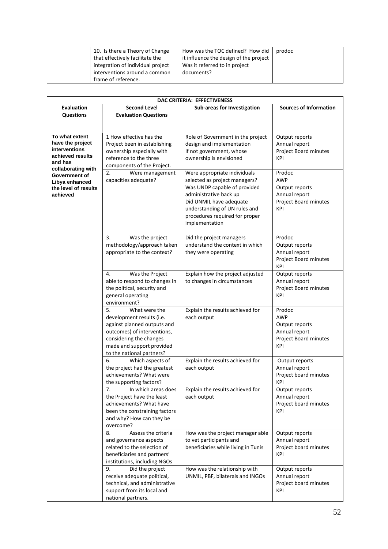| 10. Is there a Theory of Change   | How was the TOC defined? How did       | prodoc |
|-----------------------------------|----------------------------------------|--------|
| that effectively facilitate the   | it influence the design of the project |        |
| integration of individual project | Was it referred to in project          |        |
| interventions around a common     | documents?                             |        |
| frame of reference.               |                                        |        |

| DAC CRITERIA: EFFECTIVENESS                                                                              |                                                                                                                                                                                                     |                                                                                                                                                                                                                                         |                                                                                         |
|----------------------------------------------------------------------------------------------------------|-----------------------------------------------------------------------------------------------------------------------------------------------------------------------------------------------------|-----------------------------------------------------------------------------------------------------------------------------------------------------------------------------------------------------------------------------------------|-----------------------------------------------------------------------------------------|
| <b>Evaluation</b><br><b>Questions</b>                                                                    | <b>Second Level</b><br><b>Evaluation Questions</b>                                                                                                                                                  | Sub-areas for Investigation                                                                                                                                                                                                             | <b>Sources of Information</b>                                                           |
| To what extent<br>have the project<br>interventions<br>achieved results<br>and has<br>collaborating with | 1 How effective has the<br>Project been in establishing<br>ownership especially with<br>reference to the three<br>components of the Project.                                                        | Role of Government in the project<br>design and implementation<br>If not government, whose<br>ownership is envisioned                                                                                                                   | Output reports<br>Annual report<br>Project Board minutes<br><b>KPI</b>                  |
| Government of<br>Libya enhanced<br>the level of results<br>achieved                                      | 2.<br>Were management<br>capacities adequate?                                                                                                                                                       | Were appropriate individuals<br>selected as project managers?<br>Was UNDP capable of provided<br>administrative back up<br>Did UNMIL have adequate<br>understanding of UN rules and<br>procedures required for proper<br>implementation | Prodoc<br>AWP<br>Output reports<br>Annual report<br>Project Board minutes<br><b>KPI</b> |
|                                                                                                          | 3.<br>Was the project<br>methodology/approach taken<br>appropriate to the context?                                                                                                                  | Did the project managers<br>understand the context in which<br>they were operating                                                                                                                                                      | Prodoc<br>Output reports<br>Annual report<br>Project Board minutes<br>KPI               |
|                                                                                                          | 4.<br>Was the Project<br>able to respond to changes in<br>the political, security and<br>general operating<br>environment?                                                                          | Explain how the project adjusted<br>to changes in circumstances                                                                                                                                                                         | Output reports<br>Annual report<br>Project Board minutes<br>KPI                         |
|                                                                                                          | 5.<br>What were the<br>development results (i.e.<br>against planned outputs and<br>outcomes) of interventions,<br>considering the changes<br>made and support provided<br>to the national partners? | Explain the results achieved for<br>each output                                                                                                                                                                                         | Prodoc<br>AWP<br>Output reports<br>Annual report<br>Project Board minutes<br><b>KPI</b> |
|                                                                                                          | 6.<br>Which aspects of<br>the project had the greatest<br>achievements? What were<br>the supporting factors?                                                                                        | Explain the results achieved for<br>each output                                                                                                                                                                                         | Output reports<br>Annual report<br>Project board minutes<br>KPI                         |
|                                                                                                          | 7.<br>In which areas does<br>the Project have the least<br>achievements? What have<br>been the constraining factors<br>and why? How can they be<br>overcome?                                        | Explain the results achieved for<br>each output                                                                                                                                                                                         | Output reports<br>Annual report<br>Project board minutes<br>KPI                         |
|                                                                                                          | Assess the criteria<br>8.<br>and governance aspects<br>related to the selection of<br>beneficiaries and partners'<br>institutions, including NGOs                                                   | How was the project manager able<br>to vet participants and<br>beneficiaries while living in Tunis                                                                                                                                      | Output reports<br>Annual report<br>Project board minutes<br><b>KPI</b>                  |
|                                                                                                          | 9.<br>Did the project<br>receive adequate political,<br>technical, and administrative<br>support from its local and<br>national partners.                                                           | How was the relationship with<br>UNMIL, PBF, bilaterals and INGOs                                                                                                                                                                       | Output reports<br>Annual report<br>Project board minutes<br>KPI                         |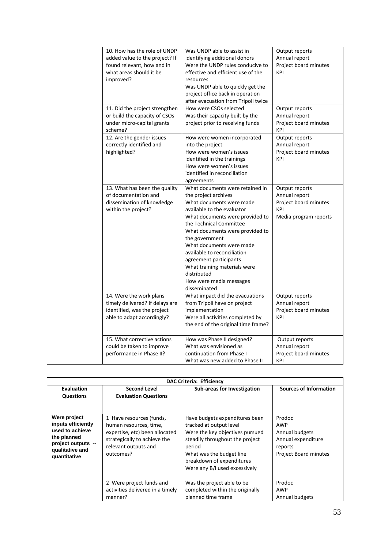| 10. How has the role of UNDP<br>added value to the project? If<br>found relevant, how and in<br>what areas should it be<br>improved? | Was UNDP able to assist in<br>identifying additional donors<br>Were the UNDP rules conducive to<br>effective and efficient use of the<br>resources<br>Was UNDP able to quickly get the<br>project office back in operation<br>after evacuation from Tripoli twice                                                                                                                                                   | Output reports<br>Annual report<br>Project board minutes<br>KPI                          |
|--------------------------------------------------------------------------------------------------------------------------------------|---------------------------------------------------------------------------------------------------------------------------------------------------------------------------------------------------------------------------------------------------------------------------------------------------------------------------------------------------------------------------------------------------------------------|------------------------------------------------------------------------------------------|
| 11. Did the project strengthen<br>or build the capacity of CSOs<br>under micro-capital grants<br>scheme?                             | How were CSOs selected<br>Was their capacity built by the<br>project prior to receiving funds                                                                                                                                                                                                                                                                                                                       | Output reports<br>Annual report<br>Project board minutes<br>KPI                          |
| 12. Are the gender issues<br>correctly identified and<br>highlighted?                                                                | How were women incorporated<br>into the project<br>How were women's issues<br>identified in the trainings<br>How were women's issues<br>identified in reconciliation<br>agreements                                                                                                                                                                                                                                  | Output reports<br>Annual report<br>Project board minutes<br>KPI                          |
| 13. What has been the quality<br>of documentation and<br>dissemination of knowledge<br>within the project?                           | What documents were retained in<br>the project archives<br>What documents were made<br>available to the evaluator<br>What documents were provided to<br>the Technical Committee<br>What documents were provided to<br>the government<br>What documents were made<br>available to reconciliation<br>agreement participants<br>What training materials were<br>distributed<br>How were media messages<br>disseminated | Output reports<br>Annual report<br>Project board minutes<br>KPI<br>Media program reports |
| 14. Were the work plans<br>timely delivered? If delays are<br>identified, was the project<br>able to adapt accordingly?              | What impact did the evacuations<br>from Tripoli have on project<br>implementation<br>Were all activities completed by<br>the end of the original time frame?                                                                                                                                                                                                                                                        | Output reports<br>Annual report<br>Project board minutes<br>KPI                          |
| 15. What corrective actions<br>could be taken to improve<br>performance in Phase II?                                                 | How was Phase II designed?<br>What was envisioned as<br>continuation from Phase I<br>What was new added to Phase II                                                                                                                                                                                                                                                                                                 | Output reports<br>Annual report<br>Project board minutes<br>KPI                          |

| <b>DAC Criteria: Efficiency</b>                                                                                               |                                                                                                                                                           |                                                                                                                                                                                                                                     |                                                                                                  |
|-------------------------------------------------------------------------------------------------------------------------------|-----------------------------------------------------------------------------------------------------------------------------------------------------------|-------------------------------------------------------------------------------------------------------------------------------------------------------------------------------------------------------------------------------------|--------------------------------------------------------------------------------------------------|
| Evaluation<br><b>Questions</b>                                                                                                | <b>Second Level</b><br><b>Evaluation Questions</b>                                                                                                        | Sub-areas for Investigation                                                                                                                                                                                                         | <b>Sources of Information</b>                                                                    |
| Were project<br>inputs efficiently<br>used to achieve<br>the planned<br>project outputs --<br>qualitative and<br>quantitative | 1 Have resources (funds,<br>human resources, time,<br>expertise, etc) been allocated<br>strategically to achieve the<br>relevant outputs and<br>outcomes? | Have budgets expenditures been<br>tracked at output level<br>Were the key objectives pursued<br>steadily throughout the project<br>period<br>What was the budget line<br>breakdown of expenditures<br>Were any B/I used excessively | Prodoc<br>AWP<br>Annual budgets<br>Annual expenditure<br>reports<br><b>Project Board minutes</b> |
|                                                                                                                               | 2 Were project funds and<br>activities delivered in a timely<br>manner?                                                                                   | Was the project able to be<br>completed within the originally<br>planned time frame                                                                                                                                                 | Prodoc<br>AWP<br>Annual budgets                                                                  |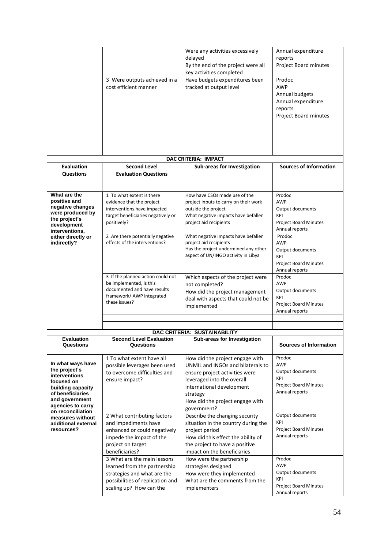|                                                                                                                                                   | 3 Were outputs achieved in a<br>cost efficient manner                                                                                                     | Were any activities excessively<br>delayed<br>By the end of the project were all<br>key activities completed<br>Have budgets expenditures been<br>tracked at output level                                                       | Annual expenditure<br>reports<br><b>Project Board minutes</b><br>Prodoc<br><b>AWP</b><br>Annual budgets<br>Annual expenditure<br>reports<br>Project Board minutes |
|---------------------------------------------------------------------------------------------------------------------------------------------------|-----------------------------------------------------------------------------------------------------------------------------------------------------------|---------------------------------------------------------------------------------------------------------------------------------------------------------------------------------------------------------------------------------|-------------------------------------------------------------------------------------------------------------------------------------------------------------------|
|                                                                                                                                                   |                                                                                                                                                           | DAC CRITERIA: IMPACT                                                                                                                                                                                                            |                                                                                                                                                                   |
| <b>Evaluation</b>                                                                                                                                 | <b>Second Level</b>                                                                                                                                       | Sub-areas for Investigation                                                                                                                                                                                                     | <b>Sources of Information</b>                                                                                                                                     |
| <b>Questions</b>                                                                                                                                  | <b>Evaluation Questions</b>                                                                                                                               |                                                                                                                                                                                                                                 |                                                                                                                                                                   |
| What are the<br>positive and<br>negative changes<br>were produced by<br>the project's<br>development<br>interventions,                            | 1 To what extent is there<br>evidence that the project<br>interventions have impacted<br>target beneficiaries negatively or<br>positively?                | How have CSOs made use of the<br>project inputs to carry on their work<br>outside the project<br>What negative impacts have befallen<br>project aid recipients                                                                  | Prodoc<br><b>AWP</b><br>Output documents<br>KPI<br><b>Project Board Minutes</b><br>Annual reports                                                                 |
| either directly or<br>indirectly?                                                                                                                 | 2 Are there potentially negative<br>effects of the interventions?                                                                                         | What negative impacts have befallen<br>project aid recipients<br>Has the project undermined any other<br>aspect of UN/INGO activity in Libya                                                                                    | Prodoc<br><b>AWP</b><br>Output documents<br>KPI<br><b>Project Board Minutes</b><br>Annual reports                                                                 |
|                                                                                                                                                   | 3 If the planned action could not<br>be implemented, is this<br>documented and have results<br>framework/ AWP integrated<br>these issues?                 | Which aspects of the project were<br>not completed?<br>How did the project management<br>deal with aspects that could not be<br>implemented                                                                                     | Prodoc<br><b>AWP</b><br>Output documents<br>KPI<br><b>Project Board Minutes</b><br>Annual reports                                                                 |
|                                                                                                                                                   |                                                                                                                                                           |                                                                                                                                                                                                                                 |                                                                                                                                                                   |
|                                                                                                                                                   |                                                                                                                                                           | DAC CRITERIA: SUSTAINABILITY                                                                                                                                                                                                    |                                                                                                                                                                   |
| Evaluation<br>Questions                                                                                                                           | <b>Second Level Evaluation</b><br>Questions                                                                                                               | Sub-areas for Investigation                                                                                                                                                                                                     | <b>Sources of Information</b>                                                                                                                                     |
| In what ways have<br>the project's<br>interventions<br>focused on<br>building capacity<br>of beneficiaries<br>and government<br>agencies to carry | 1 To what extent have all<br>possible leverages been used<br>to overcome difficulties and<br>ensure impact?                                               | How did the project engage with<br>UNMIL and INGOs and bilaterals to<br>ensure project activities were<br>leveraged into the overall<br>international development<br>strategy<br>How did the project engage with<br>government? | Prodoc<br>AWP<br><b>Output documents</b><br>KPI<br><b>Project Board Minutes</b><br>Annual reports                                                                 |
| on reconciliation<br>measures without<br>additional external<br>resources?                                                                        | 2 What contributing factors<br>and impediments have<br>enhanced or could negatively<br>impede the impact of the<br>project on target<br>beneficiaries?    | Describe the changing security<br>situation in the country during the<br>project period<br>How did this effect the ability of<br>the project to have a positive<br>impact on the beneficiaries                                  | Output documents<br>KPI<br>Project Board Minutes<br>Annual reports                                                                                                |
|                                                                                                                                                   | 3 What are the main lessons<br>learned from the partnership<br>strategies and what are the<br>possibilities of replication and<br>scaling up? How can the | How were the partnership<br>strategies designed<br>How were they implemented<br>What are the comments from the<br>implementers                                                                                                  | Prodoc<br><b>AWP</b><br>Output documents<br>KPI<br><b>Project Board Minutes</b><br>Annual reports                                                                 |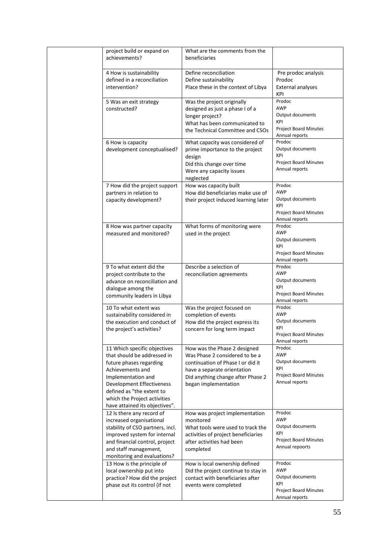|  | project build or expand on<br>achievements?                                                                                                                                                                                                                         | What are the comments from the<br>beneficiaries                                                                                                                                                 |                                                                                                          |
|--|---------------------------------------------------------------------------------------------------------------------------------------------------------------------------------------------------------------------------------------------------------------------|-------------------------------------------------------------------------------------------------------------------------------------------------------------------------------------------------|----------------------------------------------------------------------------------------------------------|
|  | 4 How is sustainability<br>defined in a reconciliation<br>intervention?                                                                                                                                                                                             | Define reconciliation<br>Define sustainability<br>Place these in the context of Libya                                                                                                           | Pre prodoc analysis<br>Prodoc<br><b>External analyses</b><br><b>KPI</b>                                  |
|  | 5 Was an exit strategy<br>constructed?                                                                                                                                                                                                                              | Was the project originally<br>designed as just a phase I of a<br>longer project?<br>What has been communicated to<br>the Technical Committee and CSOs                                           | Prodoc<br><b>AWP</b><br>Output documents<br>KPI<br><b>Project Board Minutes</b><br>Annual reports        |
|  | 6 How is capacity<br>development conceptualised?                                                                                                                                                                                                                    | What capacity was considered of<br>prime importance to the project<br>design<br>Did this change over time<br>Were any capacity issues<br>neglected                                              | Prodoc<br>Output documents<br>KPI<br><b>Project Board Minutes</b><br>Annual reports                      |
|  | 7 How did the project support<br>partners in relation to<br>capacity development?                                                                                                                                                                                   | How was capacity built<br>How did beneficiaries make use of<br>their project induced learning later                                                                                             | Prodoc<br><b>AWP</b><br>Output documents<br>KPI<br><b>Project Board Minutes</b><br>Annual reports        |
|  | 8 How was partner capacity<br>measured and monitored?                                                                                                                                                                                                               | What forms of monitoring were<br>used in the project                                                                                                                                            | Prodoc<br><b>AWP</b><br>Output documents<br><b>KPI</b><br><b>Project Board Minutes</b><br>Annual reports |
|  | 9 To what extent did the<br>project contribute to the<br>advance on reconciliation and<br>dialogue among the<br>community leaders in Libya                                                                                                                          | Describe a selection of<br>reconciliation agreements                                                                                                                                            | Prodoc<br><b>AWP</b><br>Output documents<br>KPI<br><b>Project Board Minutes</b><br>Annual reports        |
|  | 10 To what extent was<br>sustainability considered in<br>the execution and conduct of<br>the project's activities?                                                                                                                                                  | Was the project focused on<br>completion of events<br>How did the project express its<br>concern for long term impact                                                                           | Prodoc<br><b>AWP</b><br>Output documents<br>KPI<br><b>Project Board Minutes</b><br>Annual reports        |
|  | 11 Which specific objectives<br>that should be addressed in<br>future phases regarding<br>Achievements and<br>Implementation and<br><b>Development Effectiveness</b><br>defined as "the extent to<br>which the Project activities<br>have attained its objectives". | How was the Phase 2 designed<br>Was Phase 2 considered to be a<br>continuation of Phase I or did it<br>have a separate orientation<br>Did anything change after Phase 2<br>began implementation | Prodoc<br><b>AWP</b><br>Output documents<br><b>KPI</b><br><b>Project Board Minutes</b><br>Annual reports |
|  | 12 Is there any record of<br>increased organisational<br>stability of CSO partners, incl.<br>improved system for internal<br>and financial control, project<br>and staff management,<br>monitoring and evaluations?                                                 | How was project implementation<br>monitored<br>What tools were used to track the<br>activities of project beneficiaries<br>after activities had been<br>completed                               | Prodoc<br><b>AWP</b><br>Output documents<br>KPI<br><b>Project Board Minutes</b><br>Annual repoorts       |
|  | 13 How is the principle of<br>local ownership put into<br>practice? How did the project<br>phase out its control (if not                                                                                                                                            | How is local ownership defined<br>Did the project continue to stay in<br>contact with beneficiaries after<br>events were completed                                                              | Prodoc<br><b>AWP</b><br>Output documents<br>KPI<br><b>Project Board Minutes</b><br>Annual reports        |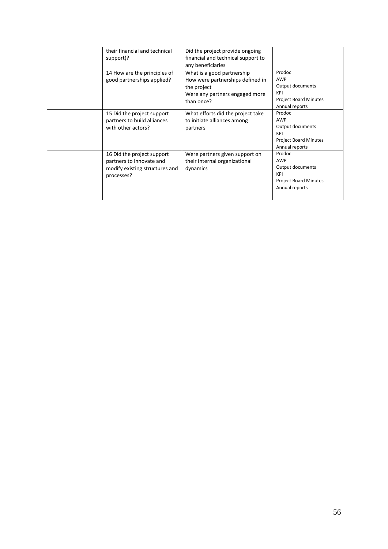| their financial and technical<br>support)?                                                             | Did the project provide ongoing<br>financial and technical support to<br>any beneficiaries                                    |                                                                                            |
|--------------------------------------------------------------------------------------------------------|-------------------------------------------------------------------------------------------------------------------------------|--------------------------------------------------------------------------------------------|
| 14 How are the principles of<br>good partnerships applied?                                             | What is a good partnership<br>How were partnerships defined in<br>the project<br>Were any partners engaged more<br>than once? | Prodoc<br>AWP<br>Output documents<br>KPI<br><b>Project Board Minutes</b><br>Annual reports |
| 15 Did the project support<br>partners to build alliances<br>with other actors?                        | What efforts did the project take<br>to initiate alliances among<br>partners                                                  | Prodoc<br>AWP<br>Output documents<br>KPI<br><b>Project Board Minutes</b><br>Annual reports |
| 16 Did the project support<br>partners to innovate and<br>modify existing structures and<br>processes? | Were partners given support on<br>their internal organizational<br>dynamics                                                   | Prodoc<br>AWP<br>Output documents<br>KPI<br><b>Project Board Minutes</b><br>Annual reports |
|                                                                                                        |                                                                                                                               |                                                                                            |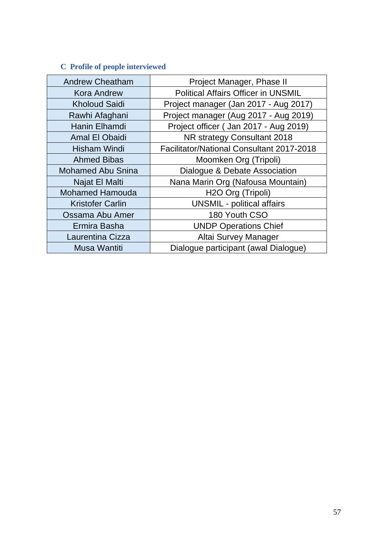# <span id="page-56-0"></span>**C Profile of people interviewed**

| <b>Andrew Cheatham</b>   | Project Manager, Phase II                  |
|--------------------------|--------------------------------------------|
| <b>Kora Andrew</b>       | <b>Political Affairs Officer in UNSMIL</b> |
| <b>Kholoud Saidi</b>     | Project manager (Jan 2017 - Aug 2017)      |
| Rawhi Afaghani           | Project manager (Aug 2017 - Aug 2019)      |
| Hanin Elhamdi            | Project officer (Jan 2017 - Aug 2019)      |
| <b>Amal El Obaidi</b>    | NR strategy Consultant 2018                |
| <b>Hisham Windi</b>      | Facilitator/National Consultant 2017-2018  |
| <b>Ahmed Bibas</b>       | Moomken Org (Tripoli)                      |
| <b>Mohamed Abu Snina</b> | Dialogue & Debate Association              |
| Najat El Malti           | Nana Marin Org (Nafousa Mountain)          |
| <b>Mohamed Hamouda</b>   | H <sub>2</sub> O Org (Tripoli)             |
| <b>Kristofer Carlin</b>  | <b>UNSMIL</b> - political affairs          |
| Ossama Abu Amer          | 180 Youth CSO                              |
| Ermira Basha             | <b>UNDP Operations Chief</b>               |
| Laurentina Cizza         | Altai Survey Manager                       |
| Musa Wantiti             | Dialogue participant (awal Dialogue)       |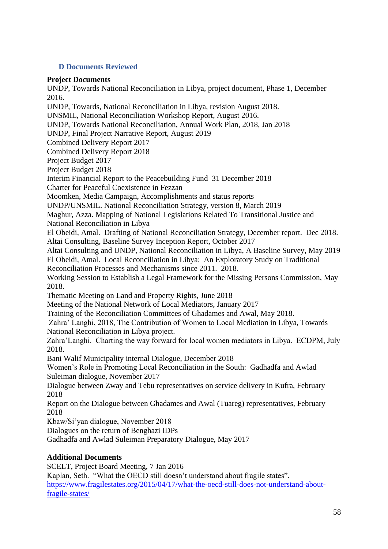#### <span id="page-57-0"></span>**D Documents Reviewed**

#### **Project Documents**

UNDP, Towards National Reconciliation in Libya, project document, Phase 1, December 2016. UNDP, Towards, National Reconciliation in Libya, revision August 2018. UNSMIL, National Reconciliation Workshop Report, August 2016. UNDP, Towards National Reconciliation, Annual Work Plan, 2018, Jan 2018 UNDP, Final Project Narrative Report, August 2019 Combined Delivery Report 2017 Combined Delivery Report 2018 Project Budget 2017 Project Budget 2018 Interim Financial Report to the Peacebuilding Fund 31 December 2018 Charter for Peaceful Coexistence in Fezzan Moomken, Media Campaign, Accomplishments and status reports UNDP/UNSMIL. National Reconciliation Strategy, version 8, March 2019 Maghur, Azza. Mapping of National Legislations Related To Transitional Justice and National Reconciliation in Libya El Obeidi, Amal. Drafting of National Reconciliation Strategy, December report. Dec 2018. Altai Consulting, Baseline Survey Inception Report, October 2017 Altai Consulting and UNDP, National Reconciliation in Libya, A Baseline Survey, May 2019 El Obeidi, Amal. Local Reconciliation in Libya: An Exploratory Study on Traditional Reconciliation Processes and Mechanisms since 2011. 2018. Working Session to Establish a Legal Framework for the Missing Persons Commission, May 2018. Thematic Meeting on Land and Property Rights, June 2018 Meeting of the National Network of Local Mediators, January 2017 Training of the Reconciliation Committees of Ghadames and Awal, May 2018. Zahra' Langhi, 2018, The Contribution of Women to Local Mediation in Libya, Towards National Reconciliation in Libya project. Zahra'Langhi. Charting the way forward for local women mediators in Libya. ECDPM, July 2018. Bani Walif Municipality internal Dialogue, December 2018 Women's Role in Promoting Local Reconciliation in the South: Gadhadfa and Awlad Suleiman dialogue, November 2017 Dialogue between Zway and Tebu representatives on service delivery in Kufra, February 2018 Report on the Dialogue between Ghadames and Awal (Tuareg) representatives, February 2018 Kbaw/Si'yan dialogue, November 2018 Dialogues on the return of Benghazi IDPs Gadhadfa and Awlad Suleiman Preparatory Dialogue, May 2017

#### **Additional Documents**

SCELT, Project Board Meeting, 7 Jan 2016

Kaplan, Seth. "What the OECD still doesn't understand about fragile states".

[https://www.fragilestates.org/2015/04/17/what-the-oecd-still-does-not-understand-about](https://www.fragilestates.org/2015/04/17/what-the-oecd-still-does-not-understand-about-fragile-states/)[fragile-states/](https://www.fragilestates.org/2015/04/17/what-the-oecd-still-does-not-understand-about-fragile-states/)